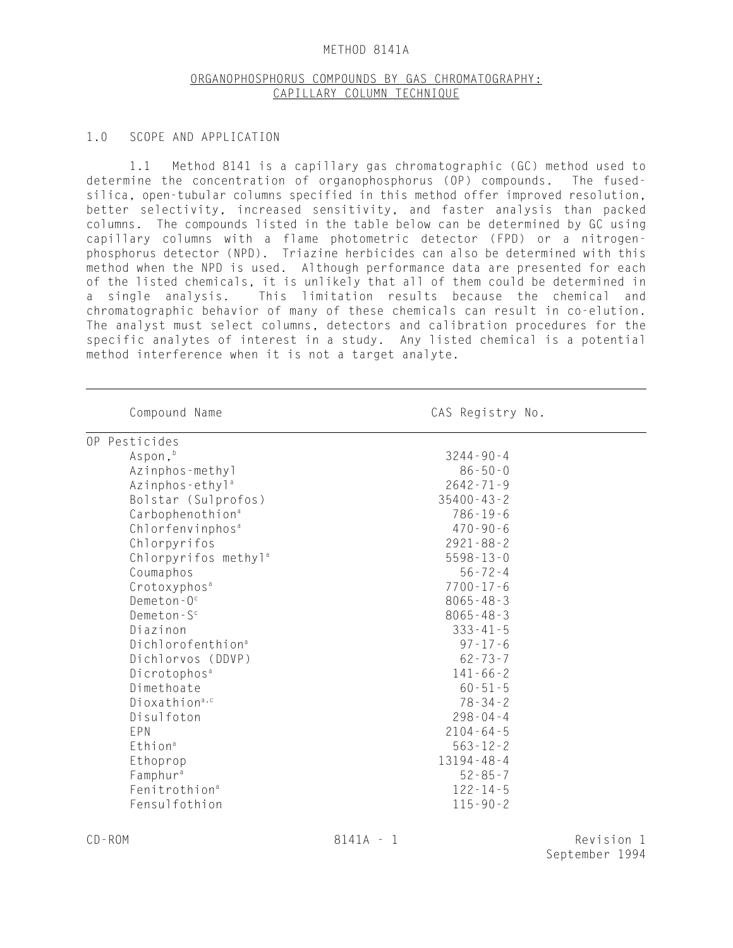### METHOD 8141A

# ORGANOPHOSPHORUS COMPOUNDS BY GAS CHROMATOGRAPHY: CAPILLARY COLUMN TECHNIQUE

#### 1.0 SCOPE AND APPLICATION

1.1 Method 8141 is a capillary gas chromatographic (GC) method used to determine the concentration of organophosphorus (OP) compounds. The fusedsilica, open-tubular columns specified in this method offer improved resolution, better selectivity, increased sensitivity, and faster analysis than packed columns. The compounds listed in the table below can be determined by GC using capillary columns with a flame photometric detector (FPD) or a nitrogenphosphorus detector (NPD). Triazine herbicides can also be determined with this method when the NPD is used. Although performance data are presented for each of the listed chemicals, it is unlikely that all of them could be determined in a single analysis. This limitation results because the chemical and chromatographic behavior of many of these chemicals can result in co-elution. The analyst must select columns, detectors and calibration procedures for the specific analytes of interest in a study. Any listed chemical is a potential method interference when it is not a target analyte.

| Compound Name                    | CAS Registry No. |
|----------------------------------|------------------|
| OP Pesticides                    |                  |
| Aspon, b                         | $3244 - 90 - 4$  |
| Azinphos-methyl                  | $86 - 50 - 0$    |
| Azinphos-ethyl <sup>a</sup>      | $2642 - 71 - 9$  |
| Bolstar (Sulprofos)              | $35400 - 43 - 2$ |
| Carbophenothion <sup>a</sup>     | $786 - 19 - 6$   |
| Chlorfenvinphos <sup>a</sup>     | $470 - 90 - 6$   |
| Chlorpyrifos                     | $2921 - 88 - 2$  |
| Chlorpyrifos methyl <sup>a</sup> | $5598 - 13 - 0$  |
| Coumaphos                        | $56 - 72 - 4$    |
| Crotoxyphos <sup>a</sup>         | $7700 - 17 - 6$  |
| Demeton- $0^{\circ}$             | $8065 - 48 - 3$  |
| Demeton- $S^c$                   | $8065 - 48 - 3$  |
| Diazinon                         | $333 - 41 - 5$   |
| Dichlorofenthion <sup>a</sup>    | $97 - 17 - 6$    |
| Dichlorvos (DDVP)                | $62 - 73 - 7$    |
| Dicrotophos <sup>a</sup>         | $141 - 66 - 2$   |
| Dimethoate                       | $60 - 51 - 5$    |
| Dioxathion <sup>a,c</sup>        | $78 - 34 - 2$    |
| Disulfoton                       | $298 - 04 - 4$   |
| EPN                              | $2104 - 64 - 5$  |
| Ethion <sup>a</sup>              | $563 - 12 - 2$   |
| Ethoprop                         | $13194 - 48 - 4$ |
| Famphur <sup>a</sup>             | $52 - 85 - 7$    |
| Fenitrothion <sup>a</sup>        | $122 - 14 - 5$   |
| Fensulfothion                    | $115 - 90 - 2$   |

l,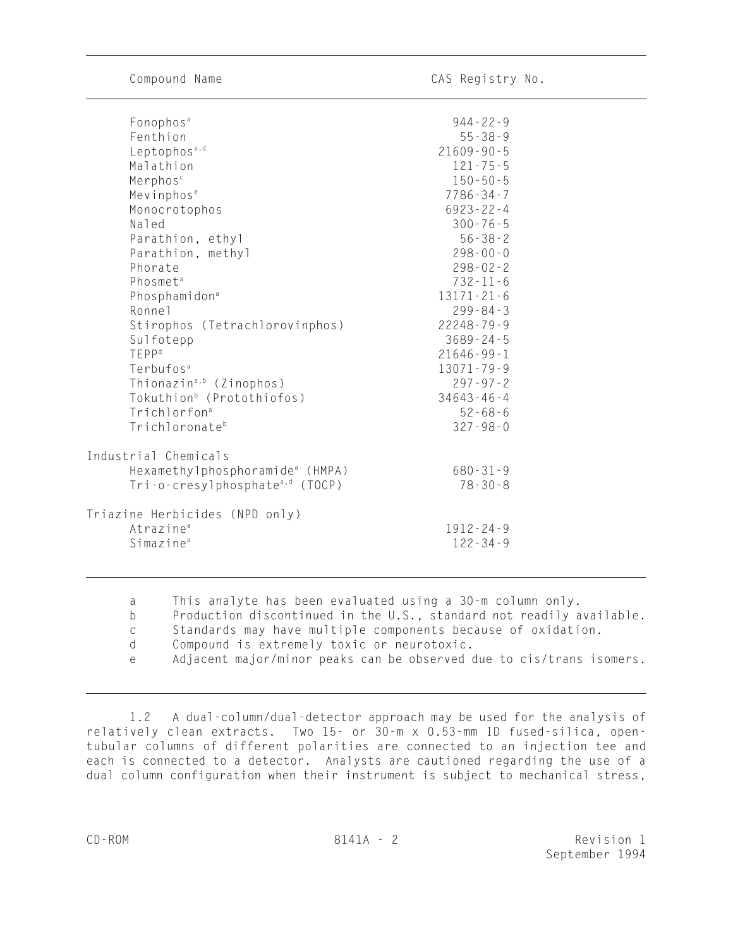$\overline{a}$ 

 $\overline{a}$ 

| Fonophos <sup>a</sup>                       | $944 - 22 - 9$   |
|---------------------------------------------|------------------|
| Fenthion                                    | $55 - 38 - 9$    |
| Leptophos <sup>a,d</sup>                    | $21609 - 90 - 5$ |
| Malathion                                   | $121 - 75 - 5$   |
| Merphos <sup>c</sup>                        | $150 - 50 - 5$   |
| Mevinphos <sup>e</sup>                      | $7786 - 34 - 7$  |
| Monocrotophos                               | $6923 - 22 - 4$  |
| Naled                                       | $300 - 76 - 5$   |
| Parathion, ethyl                            | $56 - 38 - 2$    |
| Parathion, methyl                           | $298 - 00 - 0$   |
| Phorate                                     | $298 - 02 - 2$   |
| Phosmet <sup>a</sup>                        | $732 - 11 - 6$   |
| Phosphamidon <sup>a</sup>                   | $13171 - 21 - 6$ |
| Ronne <sub>1</sub>                          | $299 - 84 - 3$   |
| Stirophos (Tetrachlorovinphos)              | $22248 - 79 - 9$ |
| Sulfotepp                                   | $3689 - 24 - 5$  |
| <b>TEPP</b> <sup>d</sup>                    | $21646 - 99 - 1$ |
| Terbufos <sup>a</sup>                       | $13071 - 79 - 9$ |
| Thionazin <sup>a,b</sup> (Zinophos)         | $297 - 97 - 2$   |
| Tokuthion <sup>b</sup> (Protothiofos)       | $34643 - 46 - 4$ |
| Trichlorfon <sup>a</sup>                    | $52 - 68 - 6$    |
| Trichloronateb                              | $327 - 98 - 0$   |
| Industrial Chemicals                        |                  |
| Hexamethylphosphoramide <sup>a</sup> (HMPA) | $680 - 31 - 9$   |
| Tri-o-cresylphosphate <sup>a,d</sup> (TOCP) | $78 - 30 - 8$    |
|                                             |                  |
| Triazine Herbicides (NPD only)              |                  |
| Atrazine <sup>a</sup>                       | $1912 - 24 - 9$  |
| Simazine <sup>a</sup>                       | $122 - 34 - 9$   |
|                                             |                  |

a This analyte has been evaluated using a 30-m column only.

b Production discontinued in the U.S., standard not readily available.

c Standards may have multiple components because of oxidation.

d Compound is extremely toxic or neurotoxic.

e Adjacent major/minor peaks can be observed due to cis/trans isomers.

1.2 A dual-column/dual-detector approach may be used for the analysis of relatively clean extracts. Two 15- or 30-m x 0.53-mm ID fused-silica, opentubular columns of different polarities are connected to an injection tee and each is connected to a detector. Analysts are cautioned regarding the use of a dual column configuration when their instrument is subject to mechanical stress,

 $\overline{a}$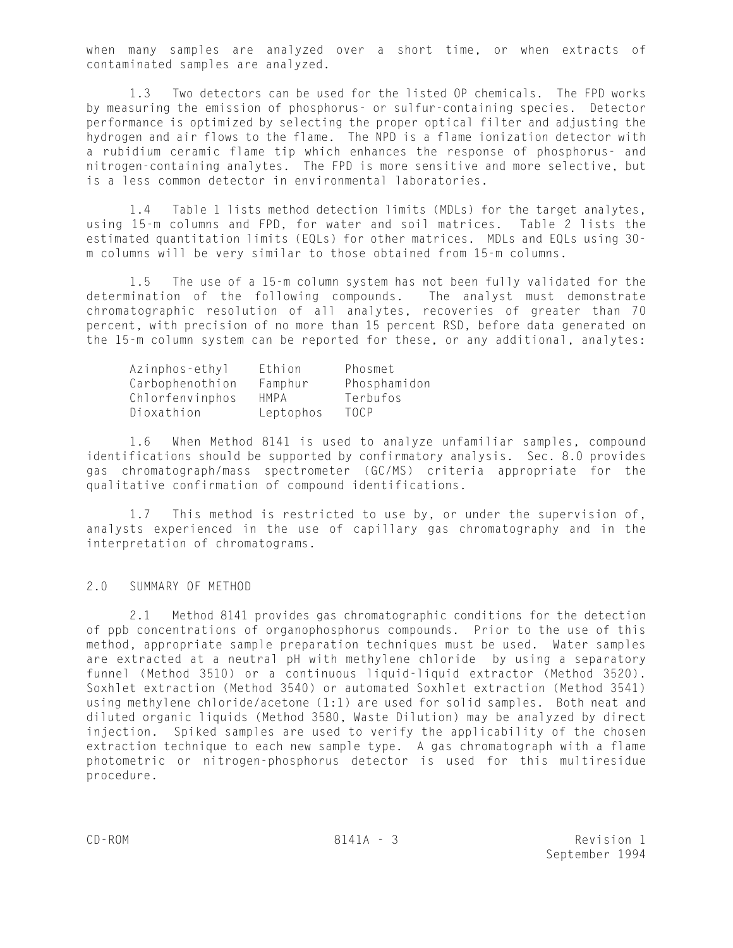when many samples are analyzed over a short time, or when extracts of contaminated samples are analyzed.

1.3 Two detectors can be used for the listed OP chemicals. The FPD works by measuring the emission of phosphorus- or sulfur-containing species. Detector performance is optimized by selecting the proper optical filter and adjusting the hydrogen and air flows to the flame. The NPD is a flame ionization detector with a rubidium ceramic flame tip which enhances the response of phosphorus- and nitrogen-containing analytes. The FPD is more sensitive and more selective, but is a less common detector in environmental laboratories.

1.4 Table 1 lists method detection limits (MDLs) for the target analytes, using 15-m columns and FPD, for water and soil matrices. Table 2 lists the estimated quantitation limits (EQLs) for other matrices. MDLs and EQLs using 30 m columns will be very similar to those obtained from 15-m columns.

1.5 The use of a 15-m column system has not been fully validated for the determination of the following compounds. The analyst must demonstrate chromatographic resolution of all analytes, recoveries of greater than 70 percent, with precision of no more than 15 percent RSD, before data generated on the 15-m column system can be reported for these, or any additional, analytes:

| Azinphos-ethyl  | Ethion    | Phosmet      |
|-----------------|-----------|--------------|
| Carbophenothion | Famphur   | Phosphamidon |
| Chlorfenvinphos | HMPA      | Terbufos     |
| Dioxathion      | Leptophos | TOCP         |

1.6 When Method 8141 is used to analyze unfamiliar samples, compound identifications should be supported by confirmatory analysis. Sec. 8.0 provides gas chromatograph/mass spectrometer (GC/MS) criteria appropriate for the qualitative confirmation of compound identifications.

1.7 This method is restricted to use by, or under the supervision of, analysts experienced in the use of capillary gas chromatography and in the interpretation of chromatograms.

# 2.0 SUMMARY OF METHOD

2.1 Method 8141 provides gas chromatographic conditions for the detection of ppb concentrations of organophosphorus compounds. Prior to the use of this method, appropriate sample preparation techniques must be used. Water samples are extracted at a neutral pH with methylene chloride by using a separatory funnel (Method 3510) or a continuous liquid-liquid extractor (Method 3520). Soxhlet extraction (Method 3540) or automated Soxhlet extraction (Method 3541) using methylene chloride/acetone (1:1) are used for solid samples. Both neat and diluted organic liquids (Method 3580, Waste Dilution) may be analyzed by direct injection. Spiked samples are used to verify the applicability of the chosen extraction technique to each new sample type. A gas chromatograph with a flame photometric or nitrogen-phosphorus detector is used for this multiresidue procedure.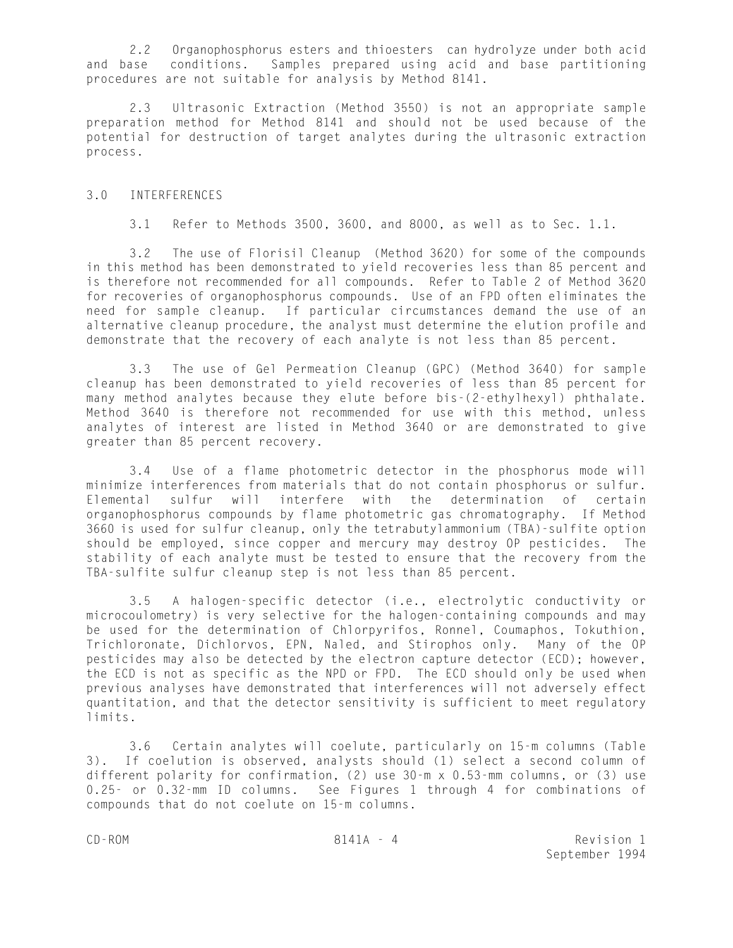2.2 Organophosphorus esters and thioesters can hydrolyze under both acid and base conditions. Samples prepared using acid and base partitioning procedures are not suitable for analysis by Method 8141.

2.3 Ultrasonic Extraction (Method 3550) is not an appropriate sample preparation method for Method 8141 and should not be used because of the potential for destruction of target analytes during the ultrasonic extraction process.

### 3.0 INTERFERENCES

3.1 Refer to Methods 3500, 3600, and 8000, as well as to Sec. 1.1.

3.2 The use of Florisil Cleanup (Method 3620) for some of the compounds in this method has been demonstrated to yield recoveries less than 85 percent and is therefore not recommended for all compounds. Refer to Table 2 of Method 3620 for recoveries of organophosphorus compounds. Use of an FPD often eliminates the need for sample cleanup. If particular circumstances demand the use of an alternative cleanup procedure, the analyst must determine the elution profile and demonstrate that the recovery of each analyte is not less than 85 percent.

3.3 The use of Gel Permeation Cleanup (GPC) (Method 3640) for sample cleanup has been demonstrated to yield recoveries of less than 85 percent for many method analytes because they elute before bis-(2-ethylhexyl) phthalate. Method 3640 is therefore not recommended for use with this method, unless analytes of interest are listed in Method 3640 or are demonstrated to give greater than 85 percent recovery.

3.4 Use of a flame photometric detector in the phosphorus mode will minimize interferences from materials that do not contain phosphorus or sulfur. Elemental sulfur will interfere with the determination of certain organophosphorus compounds by flame photometric gas chromatography. If Method 3660 is used for sulfur cleanup, only the tetrabutylammonium (TBA)-sulfite option should be employed, since copper and mercury may destroy OP pesticides. The stability of each analyte must be tested to ensure that the recovery from the TBA-sulfite sulfur cleanup step is not less than 85 percent.

3.5 A halogen-specific detector (i.e., electrolytic conductivity or microcoulometry) is very selective for the halogen-containing compounds and may be used for the determination of Chlorpyrifos, Ronnel, Coumaphos, Tokuthion, Trichloronate, Dichlorvos, EPN, Naled, and Stirophos only. Many of the OP pesticides may also be detected by the electron capture detector (ECD); however, the ECD is not as specific as the NPD or FPD. The ECD should only be used when previous analyses have demonstrated that interferences will not adversely effect quantitation, and that the detector sensitivity is sufficient to meet regulatory limits.

3.6 Certain analytes will coelute, particularly on 15-m columns (Table 3). If coelution is observed, analysts should (1) select a second column of different polarity for confirmation, (2) use 30-m x 0.53-mm columns, or (3) use 0.25- or 0.32-mm ID columns. See Figures 1 through 4 for combinations of compounds that do not coelute on 15-m columns.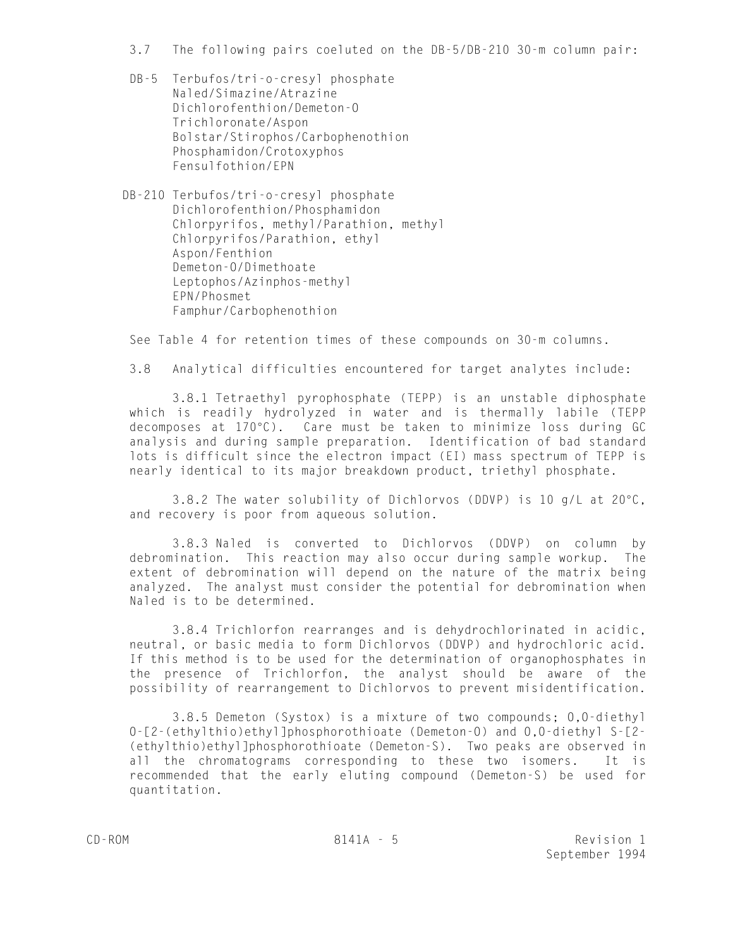- 3.7 The following pairs coeluted on the DB-5/DB-210 30-m column pair:
- DB-5 Terbufos/tri-o-cresyl phosphate Naled/Simazine/Atrazine Dichlorofenthion/Demeton-O Trichloronate/Aspon Bolstar/Stirophos/Carbophenothion Phosphamidon/Crotoxyphos Fensulfothion/EPN
- DB-210 Terbufos/tri-o-cresyl phosphate Dichlorofenthion/Phosphamidon Chlorpyrifos, methyl/Parathion, methyl Chlorpyrifos/Parathion, ethyl Aspon/Fenthion Demeton-O/Dimethoate Leptophos/Azinphos-methyl EPN/Phosmet Famphur/Carbophenothion

See Table 4 for retention times of these compounds on 30-m columns.

3.8 Analytical difficulties encountered for target analytes include:

3.8.1 Tetraethyl pyrophosphate (TEPP) is an unstable diphosphate which is readily hydrolyzed in water and is thermally labile (TEPP decomposes at  $170^{\circ}$ C). Care must be taken to minimize loss during GC analysis and during sample preparation. Identification of bad standard lots is difficult since the electron impact (EI) mass spectrum of TEPP is nearly identical to its major breakdown product, triethyl phosphate.

3.8.2 The water solubility of Dichlorvos (DDVP) is 10  $g/L$  at 20 $\degree$ C, and recovery is poor from aqueous solution.

3.8.3 Naled is converted to Dichlorvos (DDVP) on column by debromination. This reaction may also occur during sample workup. The extent of debromination will depend on the nature of the matrix being analyzed. The analyst must consider the potential for debromination when Naled is to be determined.

3.8.4 Trichlorfon rearranges and is dehydrochlorinated in acidic, neutral, or basic media to form Dichlorvos (DDVP) and hydrochloric acid. If this method is to be used for the determination of organophosphates in the presence of Trichlorfon, the analyst should be aware of the possibility of rearrangement to Dichlorvos to prevent misidentification.

3.8.5 Demeton (Systox) is a mixture of two compounds; O,O-diethyl O-[2-(ethylthio)ethyl]phosphorothioate (Demeton-O) and O,O-diethyl S-[2- (ethylthio)ethyl]phosphorothioate (Demeton-S). Two peaks are observed in all the chromatograms corresponding to these two isomers. It is recommended that the early eluting compound (Demeton-S) be used for quantitation.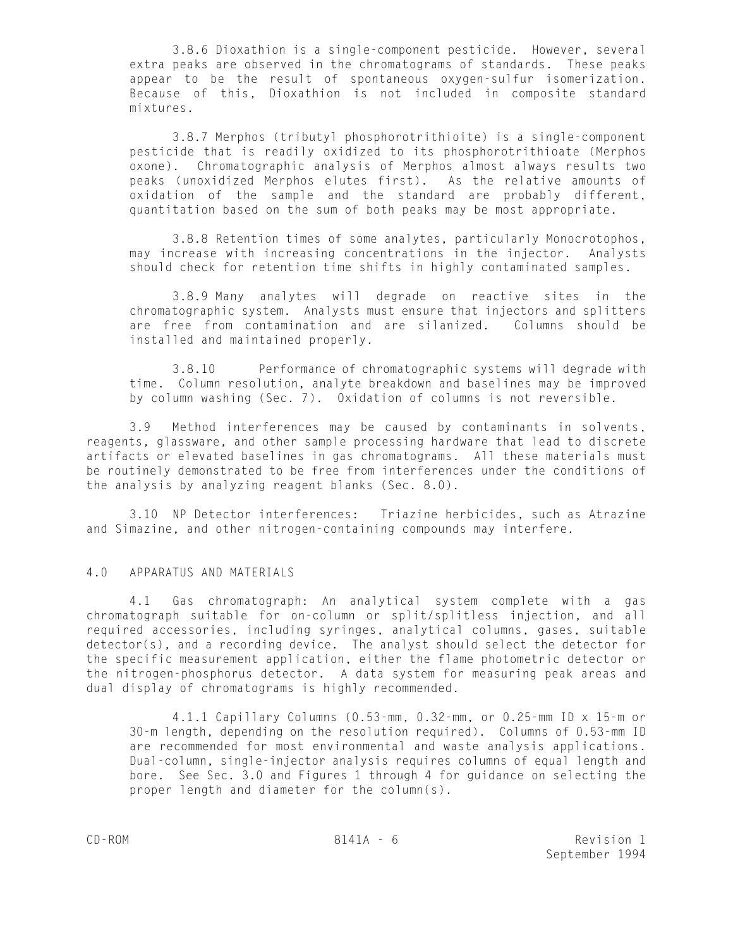3.8.6 Dioxathion is a single-component pesticide. However, several extra peaks are observed in the chromatograms of standards. These peaks appear to be the result of spontaneous oxygen-sulfur isomerization. Because of this, Dioxathion is not included in composite standard mixtures.

3.8.7 Merphos (tributyl phosphorotrithioite) is a single-component pesticide that is readily oxidized to its phosphorotrithioate (Merphos oxone). Chromatographic analysis of Merphos almost always results two peaks (unoxidized Merphos elutes first). As the relative amounts of oxidation of the sample and the standard are probably different, quantitation based on the sum of both peaks may be most appropriate.

3.8.8 Retention times of some analytes, particularly Monocrotophos, may increase with increasing concentrations in the injector. Analysts should check for retention time shifts in highly contaminated samples.

3.8.9 Many analytes will degrade on reactive sites in the chromatographic system. Analysts must ensure that injectors and splitters are free from contamination and are silanized. Columns should be installed and maintained properly.

3.8.10 Performance of chromatographic systems will degrade with time. Column resolution, analyte breakdown and baselines may be improved by column washing (Sec. 7). Oxidation of columns is not reversible.

3.9 Method interferences may be caused by contaminants in solvents, reagents, glassware, and other sample processing hardware that lead to discrete artifacts or elevated baselines in gas chromatograms. All these materials must be routinely demonstrated to be free from interferences under the conditions of the analysis by analyzing reagent blanks (Sec. 8.0).

3.10 NP Detector interferences: Triazine herbicides, such as Atrazine and Simazine, and other nitrogen-containing compounds may interfere.

# 4.0 APPARATUS AND MATERIALS

4.1 Gas chromatograph: An analytical system complete with a gas chromatograph suitable for on-column or split/splitless injection, and all required accessories, including syringes, analytical columns, gases, suitable detector(s), and a recording device. The analyst should select the detector for the specific measurement application, either the flame photometric detector or the nitrogen-phosphorus detector. A data system for measuring peak areas and dual display of chromatograms is highly recommended.

4.1.1 Capillary Columns (0.53-mm, 0.32-mm, or 0.25-mm ID x 15-m or 30-m length, depending on the resolution required). Columns of 0.53-mm ID are recommended for most environmental and waste analysis applications. Dual-column, single-injector analysis requires columns of equal length and bore. See Sec. 3.0 and Figures 1 through 4 for guidance on selecting the proper length and diameter for the column(s).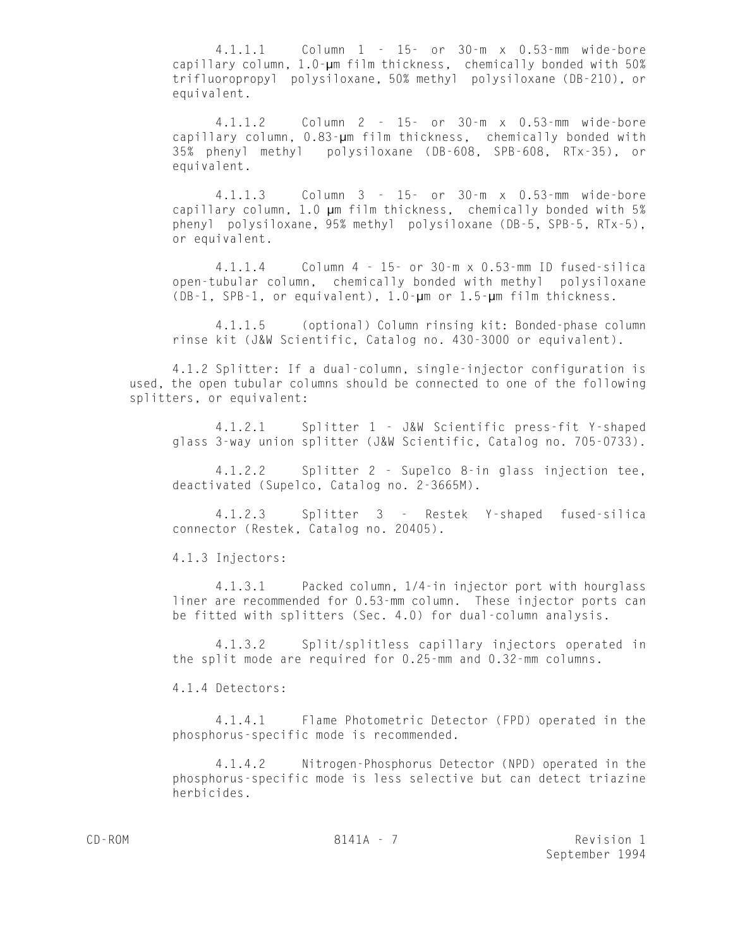4.1.1.1 Column 1 - 15- or 30-m x 0.53-mm wide-bore capillary column, 1.0-µm film thickness, chemically bonded with 50% trifluoropropyl polysiloxane, 50% methyl polysiloxane (DB-210), or equivalent.

4.1.1.2 Column 2 - 15- or 30-m x 0.53-mm wide-bore capillary column, 0.83-µm film thickness, chemically bonded with 35% phenyl methyl polysiloxane (DB-608, SPB-608, RTx-35), or equivalent.

4.1.1.3 Column 3 - 15- or 30-m x 0.53-mm wide-bore capillary column, 1.0 um film thickness, chemically bonded with 5% phenyl polysiloxane, 95% methyl polysiloxane (DB-5, SPB-5, RTx-5), or equivalent.

4.1.1.4 Column 4 - 15- or 30-m x 0.53-mm ID fused-silica open-tubular column, chemically bonded with methyl polysiloxane (DB-1, SPB-1, or equivalent), 1.0-µm or 1.5-µm film thickness.

4.1.1.5 (optional) Column rinsing kit: Bonded-phase column rinse kit (J&W Scientific, Catalog no. 430-3000 or equivalent).

4.1.2 Splitter: If a dual-column, single-injector configuration is used, the open tubular columns should be connected to one of the following splitters, or equivalent:

4.1.2.1 Splitter 1 - J&W Scientific press-fit Y-shaped glass 3-way union splitter (J&W Scientific, Catalog no. 705-0733).

4.1.2.2 Splitter 2 - Supelco 8-in glass injection tee, deactivated (Supelco, Catalog no. 2-3665M).

4.1.2.3 Splitter 3 - Restek Y-shaped fused-silica connector (Restek, Catalog no. 20405).

4.1.3 Injectors:

4.1.3.1 Packed column, 1/4-in injector port with hourglass liner are recommended for 0.53-mm column. These injector ports can be fitted with splitters (Sec. 4.0) for dual-column analysis.

4.1.3.2 Split/splitless capillary injectors operated in the split mode are required for 0.25-mm and 0.32-mm columns.

4.1.4 Detectors:

4.1.4.1 Flame Photometric Detector (FPD) operated in the phosphorus-specific mode is recommended.

4.1.4.2 Nitrogen-Phosphorus Detector (NPD) operated in the phosphorus-specific mode is less selective but can detect triazine herbicides.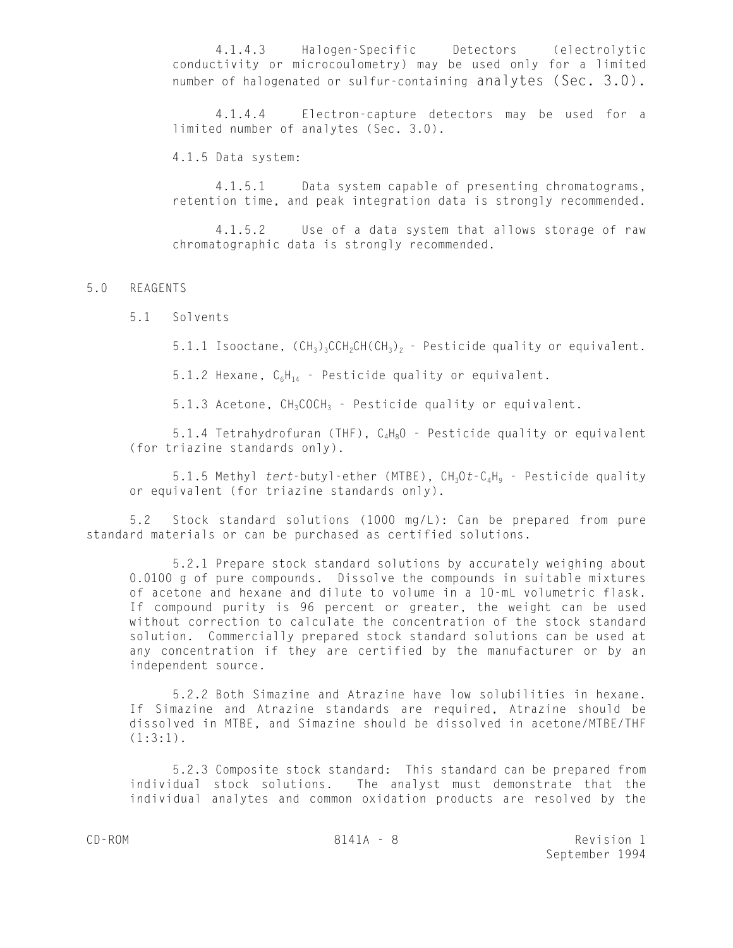4.1.4.3 Halogen-Specific Detectors (electrolytic conductivity or microcoulometry) may be used only for a limited number of halogenated or sulfur-containing analytes (Sec. 3.0).

4.1.4.4 Electron-capture detectors may be used for a limited number of analytes (Sec. 3.0).

4.1.5 Data system:

4.1.5.1 Data system capable of presenting chromatograms, retention time, and peak integration data is strongly recommended.

4.1.5.2 Use of a data system that allows storage of raw chromatographic data is strongly recommended.

# 5.0 REAGENTS

5.1 Solvents

5.1.1 Isooctane,  $(CH_3)_3CH_2CH(CH_3)_2$  - Pesticide quality or equivalent.

5.1.2 Hexane,  $C_6H_{14}$  - Pesticide quality or equivalent.

5.1.3 Acetone,  $CH_3COCH_3$  - Pesticide quality or equivalent.

5.1.4 Tetrahydrofuran (THF),  $C_4H_8O$  - Pesticide quality or equivalent (for triazine standards only).

5.1.5 Methyl *tert*-butyl-ether (MTBE), CH<sub>3</sub>Ot-C<sub>a</sub>H<sub>9</sub> - Pesticide quality or equivalent (for triazine standards only).

5.2 Stock standard solutions (1000 mg/L): Can be prepared from pure standard materials or can be purchased as certified solutions.

5.2.1 Prepare stock standard solutions by accurately weighing about 0.0100 g of pure compounds. Dissolve the compounds in suitable mixtures of acetone and hexane and dilute to volume in a 10-mL volumetric flask. If compound purity is 96 percent or greater, the weight can be used without correction to calculate the concentration of the stock standard solution. Commercially prepared stock standard solutions can be used at any concentration if they are certified by the manufacturer or by an independent source.

5.2.2 Both Simazine and Atrazine have low solubilities in hexane. If Simazine and Atrazine standards are required, Atrazine should be dissolved in MTBE, and Simazine should be dissolved in acetone/MTBE/THF (1:3:1).

5.2.3 Composite stock standard: This standard can be prepared from individual stock solutions. The analyst must demonstrate that the individual analytes and common oxidation products are resolved by the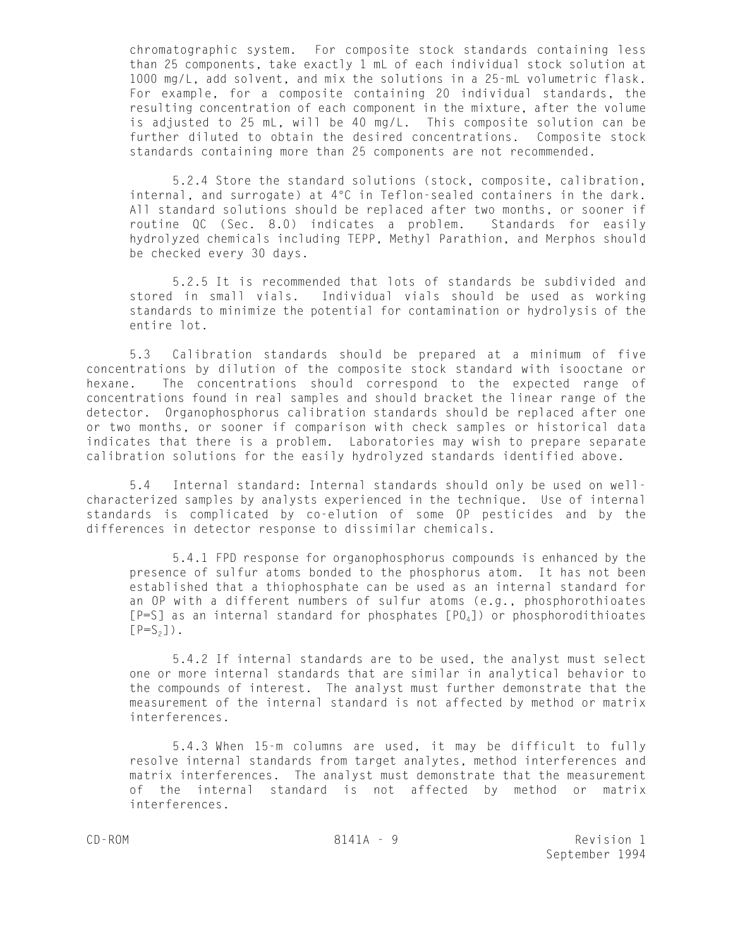chromatographic system. For composite stock standards containing less than 25 components, take exactly 1 mL of each individual stock solution at 1000 mg/L, add solvent, and mix the solutions in a 25-mL volumetric flask. For example, for a composite containing 20 individual standards, the resulting concentration of each component in the mixture, after the volume is adjusted to 25 mL, will be 40 mg/L. This composite solution can be further diluted to obtain the desired concentrations. Composite stock standards containing more than 25 components are not recommended.

5.2.4 Store the standard solutions (stock, composite, calibration, internal, and surrogate) at 4°C in Teflon-sealed containers in the dark. All standard solutions should be replaced after two months, or sooner if routine QC (Sec. 8.0) indicates a problem. Standards for easily hydrolyzed chemicals including TEPP, Methyl Parathion, and Merphos should be checked every 30 days.

5.2.5 It is recommended that lots of standards be subdivided and stored in small vials. Individual vials should be used as working standards to minimize the potential for contamination or hydrolysis of the entire lot.

5.3 Calibration standards should be prepared at a minimum of five concentrations by dilution of the composite stock standard with isooctane or hexane. The concentrations should correspond to the expected range of concentrations found in real samples and should bracket the linear range of the detector. Organophosphorus calibration standards should be replaced after one or two months, or sooner if comparison with check samples or historical data indicates that there is a problem. Laboratories may wish to prepare separate calibration solutions for the easily hydrolyzed standards identified above.

5.4 Internal standard: Internal standards should only be used on wellcharacterized samples by analysts experienced in the technique. Use of internal standards is complicated by co-elution of some OP pesticides and by the differences in detector response to dissimilar chemicals.

5.4.1 FPD response for organophosphorus compounds is enhanced by the presence of sulfur atoms bonded to the phosphorus atom. It has not been established that a thiophosphate can be used as an internal standard for an OP with a different numbers of sulfur atoms (e.g., phosphorothioates  $[P=S]$  as an internal standard for phosphates  $[P0_4]$ ) or phosphorodithioates  $[P=S<sub>2</sub>]$ ).

5.4.2 If internal standards are to be used, the analyst must select one or more internal standards that are similar in analytical behavior to the compounds of interest. The analyst must further demonstrate that the measurement of the internal standard is not affected by method or matrix interferences.

5.4.3 When 15-m columns are used, it may be difficult to fully resolve internal standards from target analytes, method interferences and matrix interferences. The analyst must demonstrate that the measurement of the internal standard is not affected by method or matrix interferences.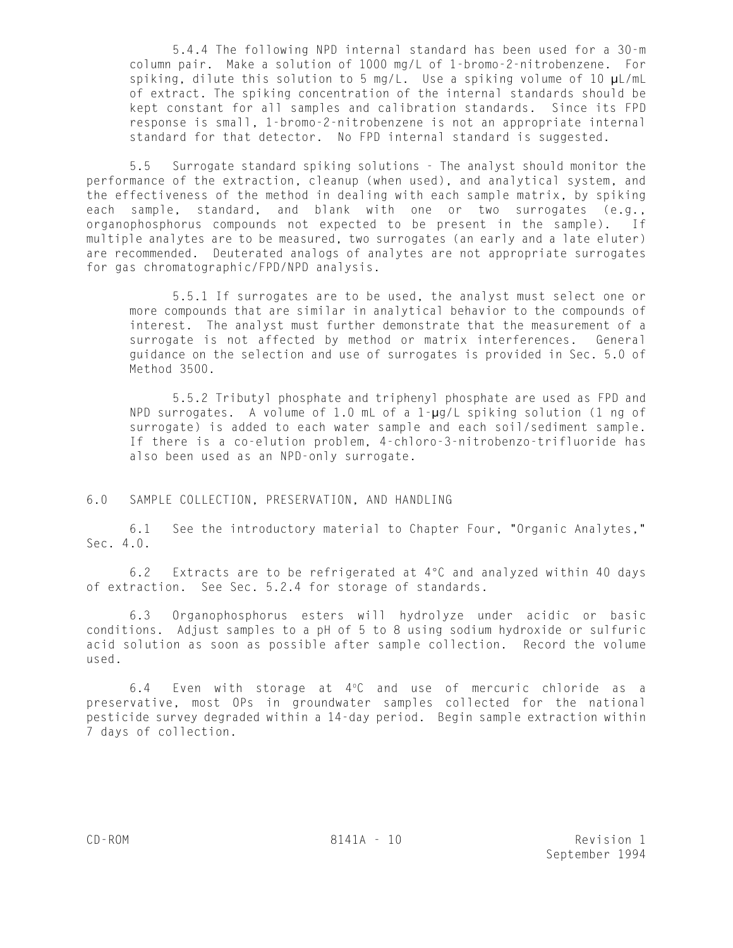5.4.4 The following NPD internal standard has been used for a 30-m column pair. Make a solution of 1000 mg/L of 1-bromo-2-nitrobenzene. For spiking, dilute this solution to 5 mg/L. Use a spiking volume of 10 µL/mL of extract. The spiking concentration of the internal standards should be kept constant for all samples and calibration standards. Since its FPD response is small, 1-bromo-2-nitrobenzene is not an appropriate internal standard for that detector. No FPD internal standard is suggested.

5.5 Surrogate standard spiking solutions - The analyst should monitor the performance of the extraction, cleanup (when used), and analytical system, and the effectiveness of the method in dealing with each sample matrix, by spiking each sample, standard, and blank with one or two surrogates (e.g., organophosphorus compounds not expected to be present in the sample). If multiple analytes are to be measured, two surrogates (an early and a late eluter) are recommended. Deuterated analogs of analytes are not appropriate surrogates for gas chromatographic/FPD/NPD analysis.

5.5.1 If surrogates are to be used, the analyst must select one or more compounds that are similar in analytical behavior to the compounds of interest. The analyst must further demonstrate that the measurement of a surrogate is not affected by method or matrix interferences. General guidance on the selection and use of surrogates is provided in Sec. 5.0 of Method 3500.

5.5.2 Tributyl phosphate and triphenyl phosphate are used as FPD and NPD surrogates. A volume of 1.0 mL of a 1-µg/L spiking solution (1 ng of surrogate) is added to each water sample and each soil/sediment sample. If there is a co-elution problem, 4-chloro-3-nitrobenzo-trifluoride has also been used as an NPD-only surrogate.

# 6.0 SAMPLE COLLECTION, PRESERVATION, AND HANDLING

6.1 See the introductory material to Chapter Four, "Organic Analytes," Sec. 4.0.

6.2 Extracts are to be refrigerated at  $4^{\circ}$ C and analyzed within 40 days of extraction. See Sec. 5.2.4 for storage of standards.

6.3 Organophosphorus esters will hydrolyze under acidic or basic conditions. Adjust samples to a pH of 5 to 8 using sodium hydroxide or sulfuric acid solution as soon as possible after sample collection. Record the volume used.

6.4 Even with storage at  $4^{\circ}$ C and use of mercuric chloride as a preservative, most OPs in groundwater samples collected for the national pesticide survey degraded within a 14-day period. Begin sample extraction within 7 days of collection.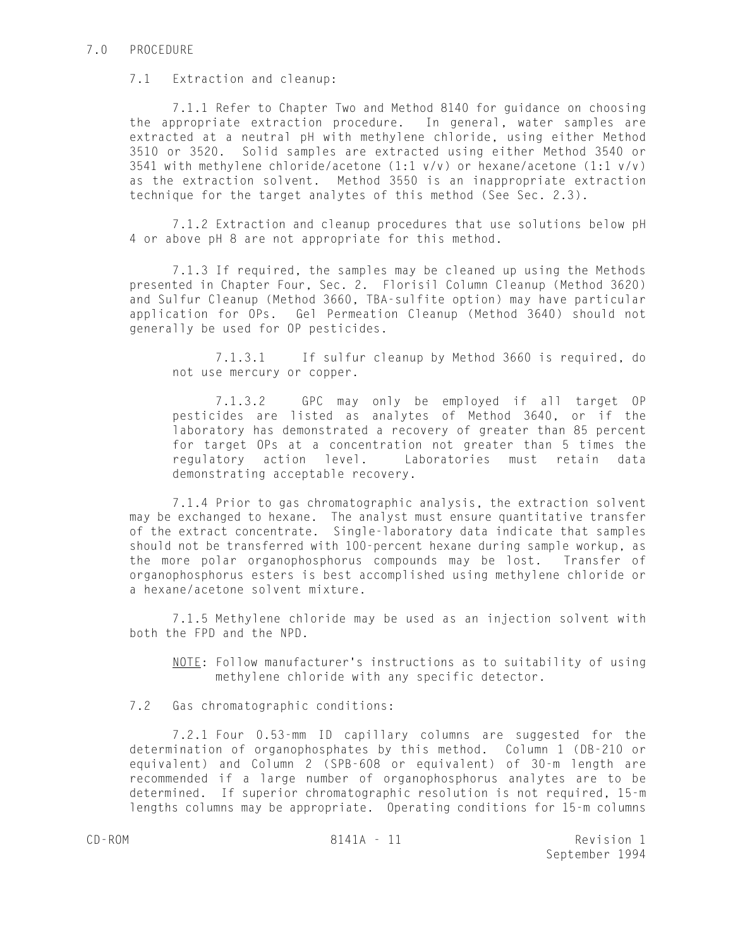### 7.0 PROCEDURE

# 7.1 Extraction and cleanup:

7.1.1 Refer to Chapter Two and Method 8140 for guidance on choosing the appropriate extraction procedure. In general, water samples are extracted at a neutral pH with methylene chloride, using either Method 3510 or 3520. Solid samples are extracted using either Method 3540 or 3541 with methylene chloride/acetone (1:1 v/v) or hexane/acetone (1:1 v/v) as the extraction solvent. Method 3550 is an inappropriate extraction technique for the target analytes of this method (See Sec. 2.3).

7.1.2 Extraction and cleanup procedures that use solutions below pH 4 or above pH 8 are not appropriate for this method.

7.1.3 If required, the samples may be cleaned up using the Methods presented in Chapter Four, Sec. 2. Florisil Column Cleanup (Method 3620) and Sulfur Cleanup (Method 3660, TBA-sulfite option) may have particular application for OPs. Gel Permeation Cleanup (Method 3640) should not generally be used for OP pesticides.

7.1.3.1 If sulfur cleanup by Method 3660 is required, do not use mercury or copper.

7.1.3.2 GPC may only be employed if all target OP pesticides are listed as analytes of Method 3640, or if the laboratory has demonstrated a recovery of greater than 85 percent for target OPs at a concentration not greater than 5 times the regulatory action level. Laboratories must retain data demonstrating acceptable recovery.

7.1.4 Prior to gas chromatographic analysis, the extraction solvent may be exchanged to hexane. The analyst must ensure quantitative transfer of the extract concentrate. Single-laboratory data indicate that samples should not be transferred with 100-percent hexane during sample workup, as the more polar organophosphorus compounds may be lost. Transfer of organophosphorus esters is best accomplished using methylene chloride or a hexane/acetone solvent mixture.

7.1.5 Methylene chloride may be used as an injection solvent with both the FPD and the NPD.

NOTE: Follow manufacturer's instructions as to suitability of using methylene chloride with any specific detector.

7.2 Gas chromatographic conditions:

7.2.1 Four 0.53-mm ID capillary columns are suggested for the determination of organophosphates by this method. Column 1 (DB-210 or equivalent) and Column 2 (SPB-608 or equivalent) of 30-m length are recommended if a large number of organophosphorus analytes are to be determined. If superior chromatographic resolution is not required, 15-m lengths columns may be appropriate. Operating conditions for 15-m columns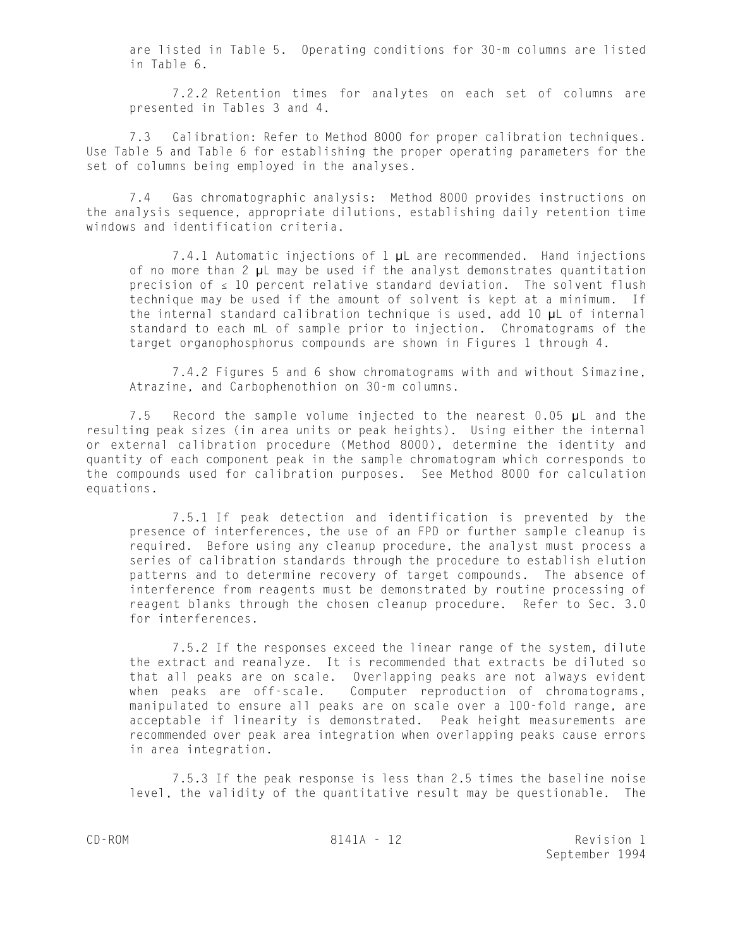are listed in Table 5. Operating conditions for 30-m columns are listed in Table 6.

7.2.2 Retention times for analytes on each set of columns are presented in Tables 3 and 4.

7.3 Calibration: Refer to Method 8000 for proper calibration techniques. Use Table 5 and Table 6 for establishing the proper operating parameters for the set of columns being employed in the analyses.

7.4 Gas chromatographic analysis: Method 8000 provides instructions on the analysis sequence, appropriate dilutions, establishing daily retention time windows and identification criteria.

7.4.1 Automatic injections of 1 µL are recommended. Hand injections of no more than 2 µL may be used if the analyst demonstrates quantitation precision of  $\leq 10$  percent relative standard deviation. The solvent flush technique may be used if the amount of solvent is kept at a minimum. If the internal standard calibration technique is used, add 10 µL of internal standard to each mL of sample prior to injection. Chromatograms of the target organophosphorus compounds are shown in Figures 1 through 4.

7.4.2 Figures 5 and 6 show chromatograms with and without Simazine, Atrazine, and Carbophenothion on 30-m columns.

7.5 Record the sample volume injected to the nearest 0.05 µL and the resulting peak sizes (in area units or peak heights). Using either the internal or external calibration procedure (Method 8000), determine the identity and quantity of each component peak in the sample chromatogram which corresponds to the compounds used for calibration purposes. See Method 8000 for calculation equations.

7.5.1 If peak detection and identification is prevented by the presence of interferences, the use of an FPD or further sample cleanup is required. Before using any cleanup procedure, the analyst must process a series of calibration standards through the procedure to establish elution patterns and to determine recovery of target compounds. The absence of interference from reagents must be demonstrated by routine processing of reagent blanks through the chosen cleanup procedure. Refer to Sec. 3.0 for interferences.

7.5.2 If the responses exceed the linear range of the system, dilute the extract and reanalyze. It is recommended that extracts be diluted so that all peaks are on scale. Overlapping peaks are not always evident when peaks are off-scale. Computer reproduction of chromatograms, manipulated to ensure all peaks are on scale over a 100-fold range, are acceptable if linearity is demonstrated. Peak height measurements are recommended over peak area integration when overlapping peaks cause errors in area integration.

7.5.3 If the peak response is less than 2.5 times the baseline noise level, the validity of the quantitative result may be questionable. The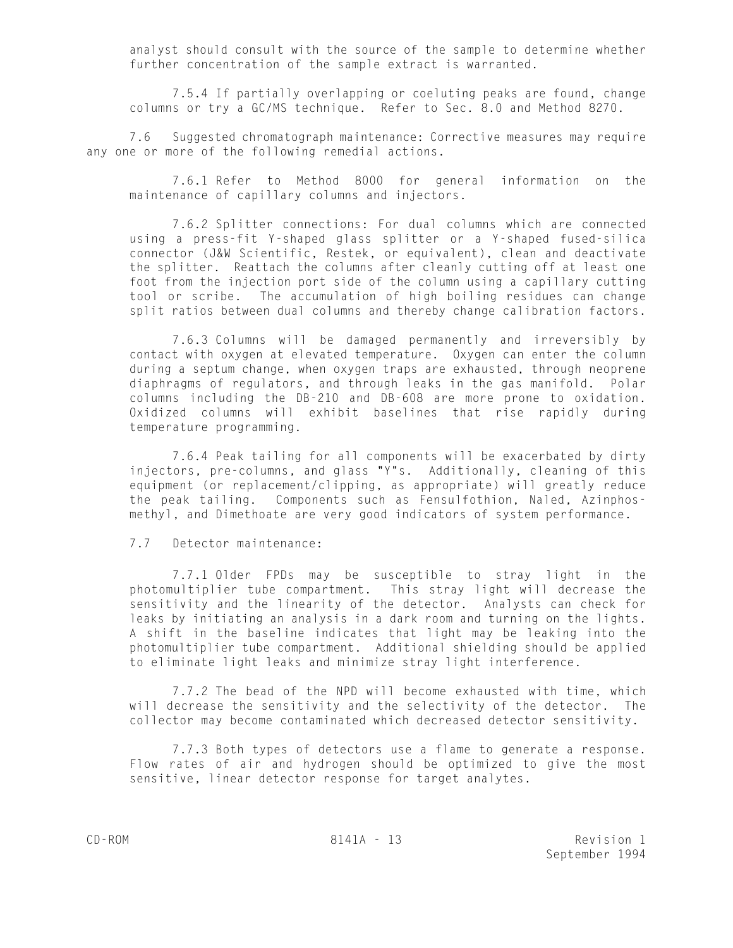analyst should consult with the source of the sample to determine whether further concentration of the sample extract is warranted.

7.5.4 If partially overlapping or coeluting peaks are found, change columns or try a GC/MS technique. Refer to Sec. 8.0 and Method 8270.

7.6 Suggested chromatograph maintenance: Corrective measures may require any one or more of the following remedial actions.

7.6.1 Refer to Method 8000 for general information on the maintenance of capillary columns and injectors.

7.6.2 Splitter connections: For dual columns which are connected using a press-fit Y-shaped glass splitter or a Y-shaped fused-silica connector (J&W Scientific, Restek, or equivalent), clean and deactivate the splitter. Reattach the columns after cleanly cutting off at least one foot from the injection port side of the column using a capillary cutting tool or scribe. The accumulation of high boiling residues can change split ratios between dual columns and thereby change calibration factors.

7.6.3 Columns will be damaged permanently and irreversibly by contact with oxygen at elevated temperature. Oxygen can enter the column during a septum change, when oxygen traps are exhausted, through neoprene diaphragms of regulators, and through leaks in the gas manifold. Polar columns including the DB-210 and DB-608 are more prone to oxidation. Oxidized columns will exhibit baselines that rise rapidly during temperature programming.

7.6.4 Peak tailing for all components will be exacerbated by dirty injectors, pre-columns, and glass "Y"s. Additionally, cleaning of this equipment (or replacement/clipping, as appropriate) will greatly reduce the peak tailing. Components such as Fensulfothion, Naled, Azinphosmethyl, and Dimethoate are very good indicators of system performance.

#### 7.7 Detector maintenance:

7.7.1 Older FPDs may be susceptible to stray light in the photomultiplier tube compartment. This stray light will decrease the sensitivity and the linearity of the detector. Analysts can check for leaks by initiating an analysis in a dark room and turning on the lights. A shift in the baseline indicates that light may be leaking into the photomultiplier tube compartment. Additional shielding should be applied to eliminate light leaks and minimize stray light interference.

7.7.2 The bead of the NPD will become exhausted with time, which will decrease the sensitivity and the selectivity of the detector. The collector may become contaminated which decreased detector sensitivity.

7.7.3 Both types of detectors use a flame to generate a response. Flow rates of air and hydrogen should be optimized to give the most sensitive, linear detector response for target analytes.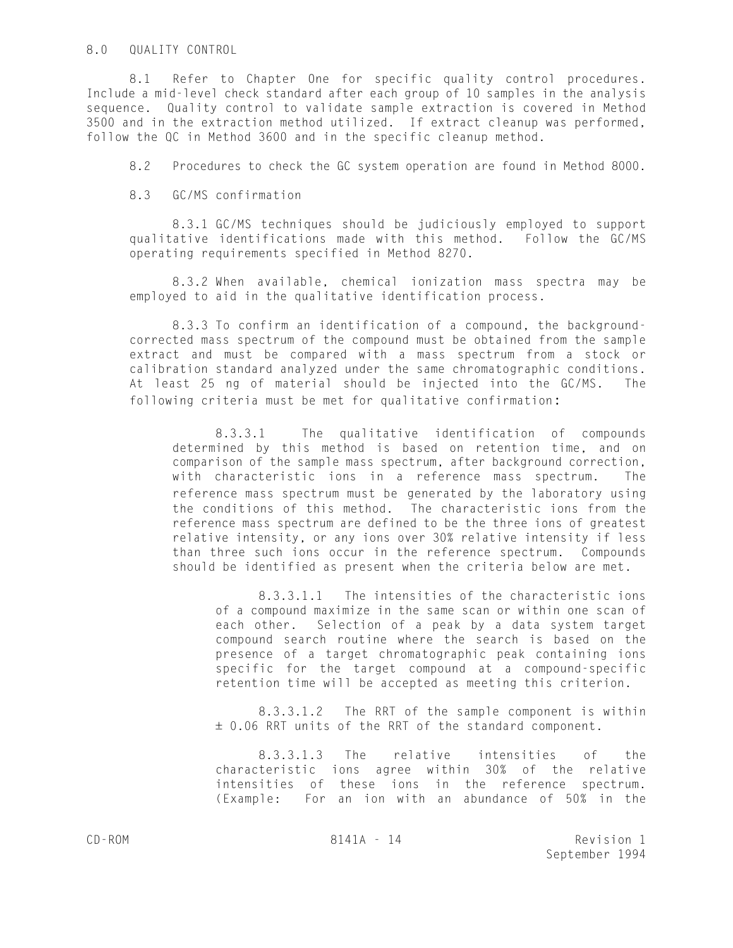### 8.0 QUALITY CONTROL

8.1 Refer to Chapter One for specific quality control procedures. Include a mid-level check standard after each group of 10 samples in the analysis sequence. Quality control to validate sample extraction is covered in Method 3500 and in the extraction method utilized. If extract cleanup was performed, follow the QC in Method 3600 and in the specific cleanup method.

8.2 Procedures to check the GC system operation are found in Method 8000.

8.3 GC/MS confirmation

8.3.1 GC/MS techniques should be judiciously employed to support qualitative identifications made with this method. Follow the GC/MS operating requirements specified in Method 8270.

8.3.2 When available, chemical ionization mass spectra may be employed to aid in the qualitative identification process.

8.3.3 To confirm an identification of a compound, the backgroundcorrected mass spectrum of the compound must be obtained from the sample extract and must be compared with a mass spectrum from a stock or calibration standard analyzed under the same chromatographic conditions. At least 25 ng of material should be injected into the GC/MS. The following criteria must be met for qualitative confirmation:

8.3.3.1 The qualitative identification of compounds determined by this method is based on retention time, and on comparison of the sample mass spectrum, after background correction, with characteristic ions in a reference mass spectrum. The reference mass spectrum must be generated by the laboratory using the conditions of this method. The characteristic ions from the reference mass spectrum are defined to be the three ions of greatest relative intensity, or any ions over 30% relative intensity if less than three such ions occur in the reference spectrum. Compounds should be identified as present when the criteria below are met.

8.3.3.1.1 The intensities of the characteristic ions of a compound maximize in the same scan or within one scan of each other. Selection of a peak by a data system target compound search routine where the search is based on the presence of a target chromatographic peak containing ions specific for the target compound at a compound-specific retention time will be accepted as meeting this criterion.

8.3.3.1.2 The RRT of the sample component is within ± 0.06 RRT units of the RRT of the standard component.

8.3.3.1.3 The relative intensities of the characteristic ions agree within 30% of the relative intensities of these ions in the reference spectrum. (Example: For an ion with an abundance of 50% in the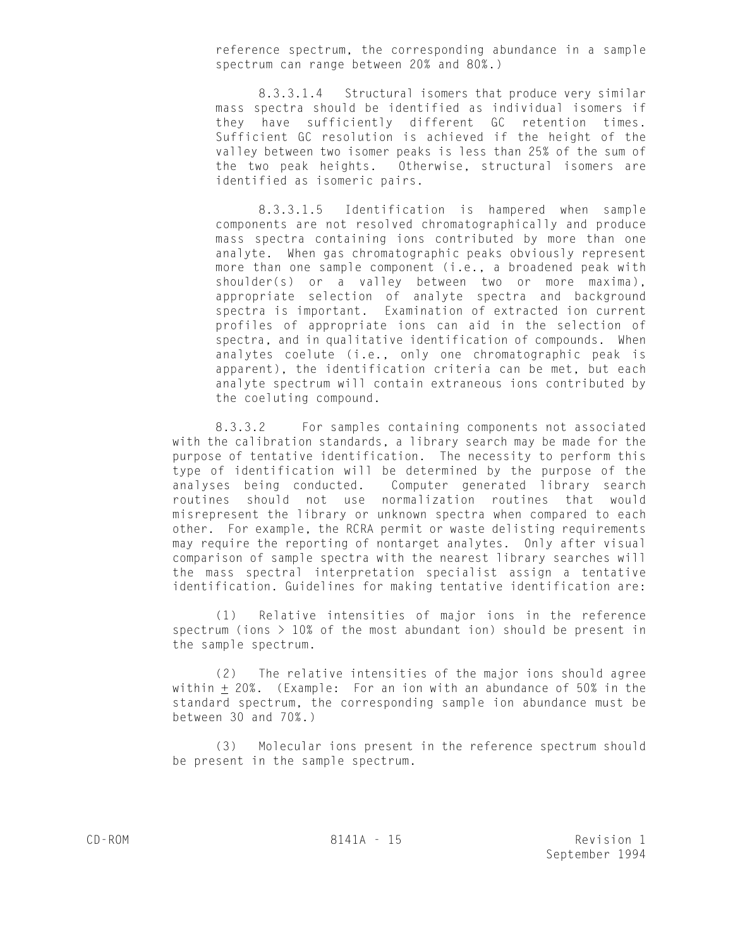reference spectrum, the corresponding abundance in a sample spectrum can range between 20% and 80%.)

8.3.3.1.4 Structural isomers that produce very similar mass spectra should be identified as individual isomers if they have sufficiently different GC retention times. Sufficient GC resolution is achieved if the height of the valley between two isomer peaks is less than 25% of the sum of the two peak heights. Otherwise, structural isomers are identified as isomeric pairs.

8.3.3.1.5 Identification is hampered when sample components are not resolved chromatographically and produce mass spectra containing ions contributed by more than one analyte. When gas chromatographic peaks obviously represent more than one sample component (i.e., a broadened peak with shoulder(s) or a valley between two or more maxima), appropriate selection of analyte spectra and background spectra is important. Examination of extracted ion current profiles of appropriate ions can aid in the selection of spectra, and in qualitative identification of compounds. When analytes coelute (i.e., only one chromatographic peak is apparent), the identification criteria can be met, but each analyte spectrum will contain extraneous ions contributed by the coeluting compound.

8.3.3.2 For samples containing components not associated with the calibration standards, a library search may be made for the purpose of tentative identification. The necessity to perform this type of identification will be determined by the purpose of the analyses being conducted. Computer generated library search routines should not use normalization routines that would misrepresent the library or unknown spectra when compared to each other. For example, the RCRA permit or waste delisting requirements may require the reporting of nontarget analytes. Only after visual comparison of sample spectra with the nearest library searches will the mass spectral interpretation specialist assign a tentative identification. Guidelines for making tentative identification are:

(1) Relative intensities of major ions in the reference spectrum (ions  $> 10\%$  of the most abundant ion) should be present in the sample spectrum.

(2) The relative intensities of the major ions should agree within  $\pm$  20%. (Example: For an ion with an abundance of 50% in the standard spectrum, the corresponding sample ion abundance must be between 30 and 70%.)

(3) Molecular ions present in the reference spectrum should be present in the sample spectrum.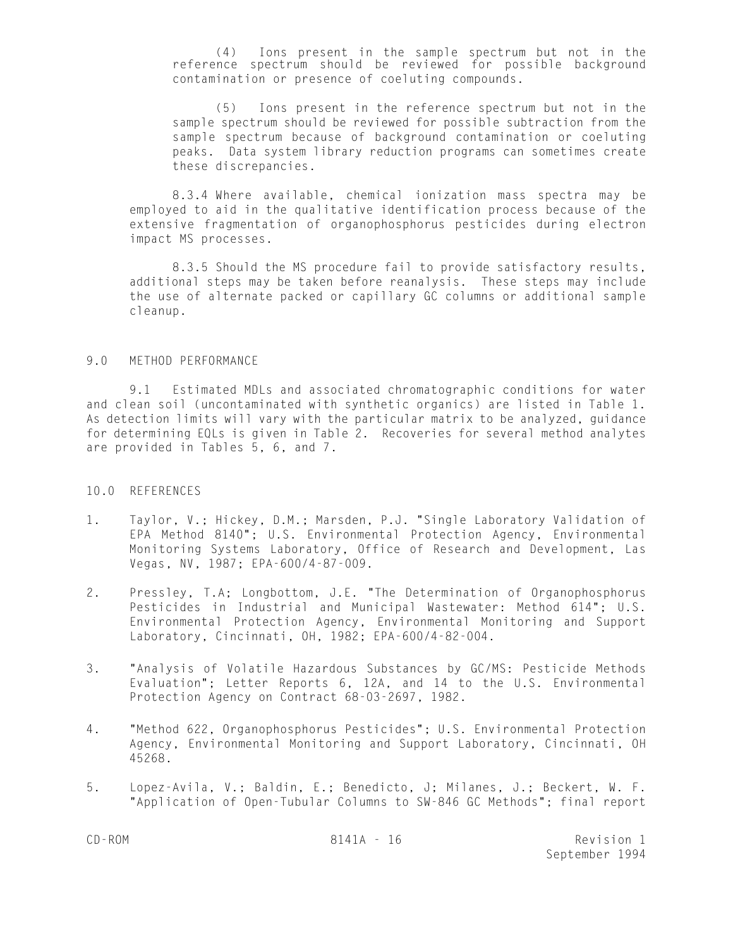(4) Ions present in the sample spectrum but not in the reference spectrum should be reviewed for possible background contamination or presence of coeluting compounds.

(5) Ions present in the reference spectrum but not in the sample spectrum should be reviewed for possible subtraction from the sample spectrum because of background contamination or coeluting peaks. Data system library reduction programs can sometimes create these discrepancies.

8.3.4 Where available, chemical ionization mass spectra may be employed to aid in the qualitative identification process because of the extensive fragmentation of organophosphorus pesticides during electron impact MS processes.

8.3.5 Should the MS procedure fail to provide satisfactory results, additional steps may be taken before reanalysis. These steps may include the use of alternate packed or capillary GC columns or additional sample cleanup.

#### 9.0 METHOD PERFORMANCE

9.1 Estimated MDLs and associated chromatographic conditions for water and clean soil (uncontaminated with synthetic organics) are listed in Table 1. As detection limits will vary with the particular matrix to be analyzed, guidance for determining EQLs is given in Table 2. Recoveries for several method analytes are provided in Tables 5, 6, and 7.

#### 10.0 REFERENCES

- 1. Taylor, V.; Hickey, D.M.; Marsden, P.J. "Single Laboratory Validation of EPA Method 8140"; U.S. Environmental Protection Agency, Environmental Monitoring Systems Laboratory, Office of Research and Development, Las Vegas, NV, 1987; EPA-600/4-87-009.
- 2. Pressley, T.A; Longbottom, J.E. "The Determination of Organophosphorus Pesticides in Industrial and Municipal Wastewater: Method 614"; U.S. Environmental Protection Agency, Environmental Monitoring and Support Laboratory, Cincinnati, OH, 1982; EPA-600/4-82-004.
- 3. "Analysis of Volatile Hazardous Substances by GC/MS: Pesticide Methods Evaluation"; Letter Reports 6, 12A, and 14 to the U.S. Environmental Protection Agency on Contract 68-03-2697, 1982.
- 4. "Method 622, Organophosphorus Pesticides"; U.S. Environmental Protection Agency, Environmental Monitoring and Support Laboratory, Cincinnati, OH 45268.
- 5. Lopez-Avila, V.; Baldin, E.; Benedicto, J; Milanes, J.; Beckert, W. F. "Application of Open-Tubular Columns to SW-846 GC Methods"; final report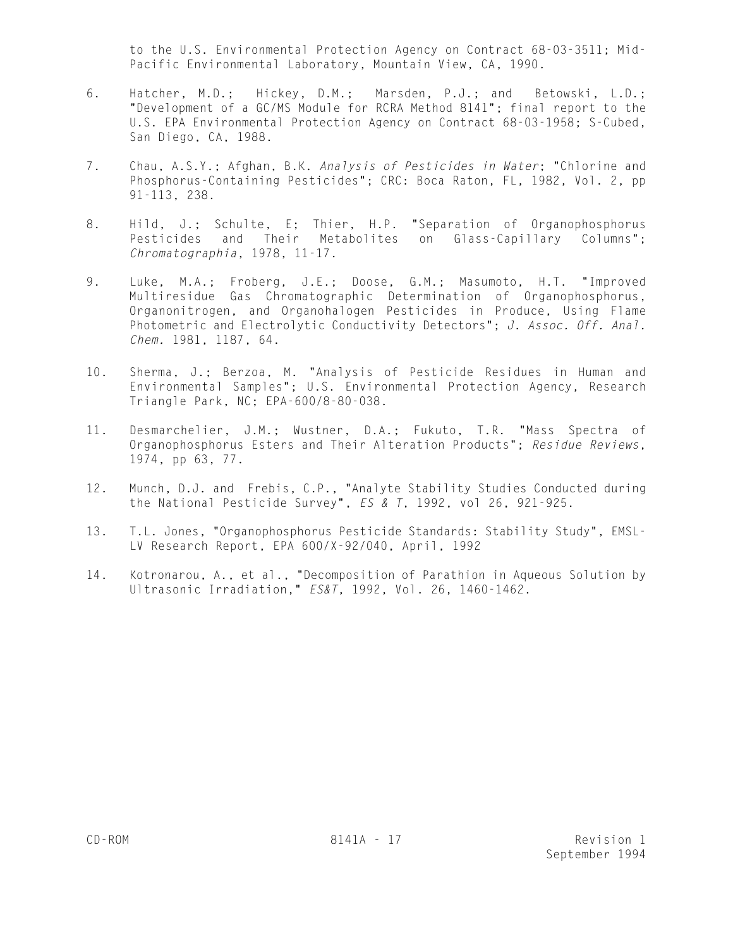to the U.S. Environmental Protection Agency on Contract 68-03-3511; Mid-Pacific Environmental Laboratory, Mountain View, CA, 1990.

- 6. Hatcher, M.D.; Hickey, D.M.; Marsden, P.J.; and Betowski, L.D.; "Development of a GC/MS Module for RCRA Method 8141"; final report to the U.S. EPA Environmental Protection Agency on Contract 68-03-1958; S-Cubed, San Diego, CA, 1988.
- 7. Chau, A.S.Y.; Afghan, B.K. *Analysis of Pesticides in Water*; "Chlorine and Phosphorus-Containing Pesticides"; CRC: Boca Raton, FL, 1982, Vol. 2, pp 91-113, 238.
- 8. Hild, J.; Schulte, E; Thier, H.P. "Separation of Organophosphorus Pesticides and Their Metabolites on Glass-Capillary Columns"; *Chromatographia*, 1978, 11-17.
- 9. Luke, M.A.; Froberg, J.E.; Doose, G.M.; Masumoto, H.T. "Improved Multiresidue Gas Chromatographic Determination of Organophosphorus, Organonitrogen, and Organohalogen Pesticides in Produce, Using Flame Photometric and Electrolytic Conductivity Detectors"; *J. Assoc. Off. Anal. Chem.* 1981, 1187, 64.
- 10. Sherma, J.; Berzoa, M. "Analysis of Pesticide Residues in Human and Environmental Samples"; U.S. Environmental Protection Agency, Research Triangle Park, NC; EPA-600/8-80-038.
- 11. Desmarchelier, J.M.; Wustner, D.A.; Fukuto, T.R. "Mass Spectra of Organophosphorus Esters and Their Alteration Products"; *Residue Reviews*, 1974, pp 63, 77.
- 12. Munch, D.J. and Frebis, C.P., "Analyte Stability Studies Conducted during the National Pesticide Survey", *ES & T*, 1992, vol 26, 921-925.
- 13. T.L. Jones, "Organophosphorus Pesticide Standards: Stability Study", EMSL-LV Research Report, EPA 600/X-92/040, April, 1992
- 14. Kotronarou, A., et al., "Decomposition of Parathion in Aqueous Solution by Ultrasonic Irradiation," *ES&T*, 1992, Vol. 26, 1460-1462.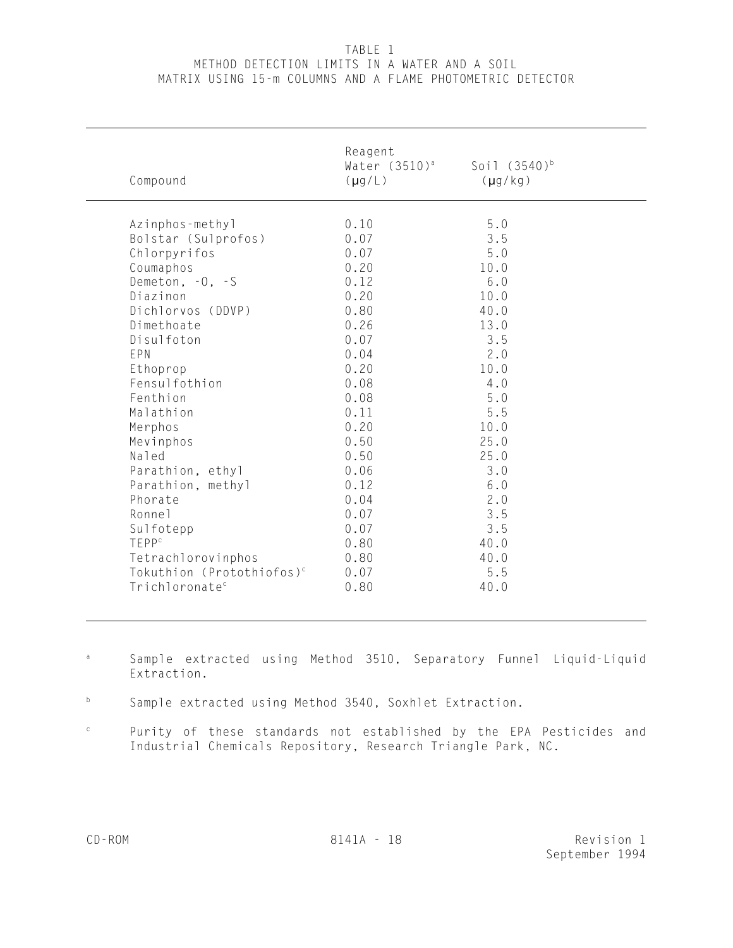# TABLE 1 METHOD DETECTION LIMITS IN A WATER AND A SOIL MATRIX USING 15-m COLUMNS AND A FLAME PHOTOMETRIC DETECTOR

| Compound                              | Reagent<br>Water (3510) <sup>a</sup><br>$(\mu g/L)$ | Soil (3540) <sup>b</sup><br>$(\mu g/kg)$ |  |
|---------------------------------------|-----------------------------------------------------|------------------------------------------|--|
| Azinphos-methyl                       | 0.10                                                | $5.0$                                    |  |
| Bolstar (Sulprofos)                   | 0.07                                                | 3.5                                      |  |
| Chlorpyrifos                          | 0.07                                                | 5.0                                      |  |
| Coumaphos                             | 0.20                                                | 10.0                                     |  |
| Demeton, $-0$ , $-5$                  | 0.12                                                | 6.0                                      |  |
| Diazinon                              | 0.20                                                | 10.0                                     |  |
| Dichlorvos (DDVP)                     | 0.80                                                | 40.0                                     |  |
| Dimethoate                            | 0.26                                                | 13.0                                     |  |
| Disulfoton                            | 0.07                                                | 3.5                                      |  |
| EPN                                   | 0.04                                                | 2.0                                      |  |
| Ethoprop                              | 0.20                                                | 10.0                                     |  |
| Fensulfothion                         | 0.08                                                | 4.0                                      |  |
| Fenthion                              | 0.08                                                | 5.0                                      |  |
| Malathion                             | 0.11                                                | 5.5                                      |  |
| Merphos                               | 0.20                                                | 10.0                                     |  |
| Mevinphos                             | 0.50                                                | 25.0                                     |  |
| Naled                                 | 0.50                                                | 25.0                                     |  |
| Parathion, ethyl                      | 0.06                                                | 3.0                                      |  |
| Parathion, methyl                     | 0.12                                                | 6.0                                      |  |
| Phorate                               | 0.04                                                | 2.0                                      |  |
| Ronnel                                | 0.07                                                | 3.5                                      |  |
| Sulfotepp                             | 0.07                                                | 3.5                                      |  |
| TEPP <sup>c</sup>                     | 0.80                                                | 40.0                                     |  |
| Tetrachlorovinphos                    | 0.80                                                | 40.0                                     |  |
| Tokuthion (Protothiofos) <sup>c</sup> | 0.07                                                | 5.5                                      |  |
| Trichloronate <sup>c</sup>            | 0.80                                                | 40.0                                     |  |

- Sample extracted using Method 3510, Separatory Funnel Liquid-Liquid a Extraction.
- b Sample extracted using Method 3540, Soxhlet Extraction.
- Purity of these standards not established by the EPA Pesticides and  $\mathtt{C}$ Industrial Chemicals Repository, Research Triangle Park, NC.

 $\overline{a}$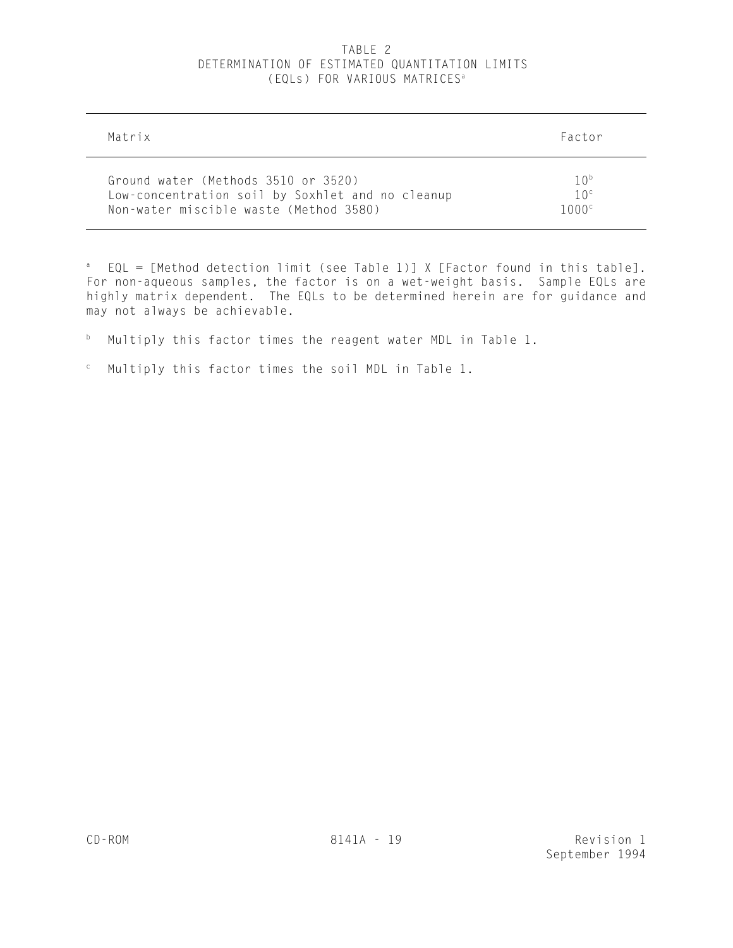# TABLE 2 DETERMINATION OF ESTIMATED QUANTITATION LIMITS (EQLs) FOR VARIOUS MATRICES<sup>a</sup>

| Matrix                                           | Factor          |
|--------------------------------------------------|-----------------|
| Ground water (Methods 3510 or 3520)              | 10 <sup>b</sup> |
| Low-concentration soil by Soxhlet and no cleanup | 10 <sup>c</sup> |
| Non-water miscible waste (Method 3580)           | 1000c           |

<sup>a</sup> EQL = [Method detection limit (see Table 1)] X [Factor found in this table]. For non-aqueous samples, the factor is on a wet-weight basis. Sample EQLs are highly matrix dependent. The EQLs to be determined herein are for guidance and may not always be achievable.

- $b$  Multiply this factor times the reagent water MDL in Table 1.
- $\degree$  Multiply this factor times the soil MDL in Table 1.

j.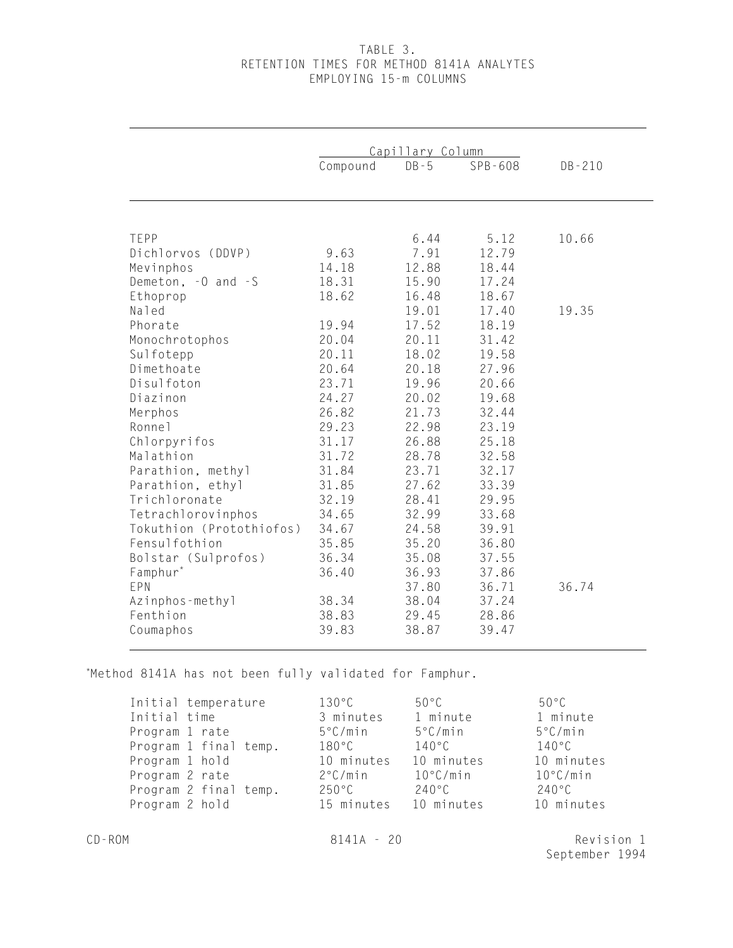# TABLE 3. RETENTION TIMES FOR METHOD 8141A ANALYTES EMPLOYING 15-m COLUMNS

|                          |          | Capillary Column |         |            |
|--------------------------|----------|------------------|---------|------------|
|                          | Compound | $DB - 5$         | SPB-608 | $DB - 210$ |
|                          |          |                  |         |            |
|                          |          |                  |         |            |
| TEPP                     |          | 6.44             | 5.12    | 10.66      |
| Dichlorvos (DDVP)        | 9.63     | 7.91             | 12.79   |            |
| Mevinphos                | 14.18    | 12.88            | 18.44   |            |
| Demeton, -0 and -S       | 18.31    | 15.90            | 17.24   |            |
| Ethoprop                 | 18.62    | 16.48            | 18.67   |            |
| Naled                    |          | 19.01            | 17.40   | 19.35      |
| Phorate                  | 19.94    | 17.52            | 18.19   |            |
| Monochrotophos           | 20.04    | 20.11            | 31.42   |            |
| Sulfotepp                | 20.11    | 18.02            | 19.58   |            |
| Dimethoate               | 20.64    | 20.18            | 27.96   |            |
| Disulfoton               | 23.71    | 19.96            | 20.66   |            |
| Diazinon                 | 24.27    | 20.02            | 19.68   |            |
| Merphos                  | 26.82    | 21.73            | 32.44   |            |
| Ronne <sub>1</sub>       | 29.23    | 22.98            | 23.19   |            |
| Chlorpyrifos             | 31.17    | 26.88            | 25.18   |            |
| Malathion                | 31.72    | 28.78            | 32.58   |            |
| Parathion, methyl        | 31.84    | 23.71            | 32.17   |            |
| Parathion, ethyl         | 31.85    | 27.62            | 33.39   |            |
| Trichloronate            | 32.19    | 28.41            | 29.95   |            |
| Tetrachlorovinphos       | 34.65    | 32.99            | 33.68   |            |
| Tokuthion (Protothiofos) | 34.67    | 24.58            | 39.91   |            |
| Fensulfothion            | 35.85    | 35.20            | 36.80   |            |
| Bolstar (Sulprofos)      | 36.34    | 35.08            | 37.55   |            |
| Famphur*                 | 36.40    | 36.93            | 37.86   |            |
| EPN                      |          | 37.80            | 36.71   | 36.74      |
| Azinphos-methyl          | 38.34    | 38.04            | 37.24   |            |
| Fenthion                 | 38.83    | 29.45            | 28.86   |            |
| Coumaphos                | 39.83    | 38.87            | 39.47   |            |

\*Method 8141A has not been fully validated for Famphur.

| Initial temperature<br>Initial time<br>Program 1 rate<br>Program 1 final temp.<br>Program 1 hold<br>Program 2 rate<br>Program 2 final temp.<br>Program 2 hold | $130^{\circ}$ C<br>3 minutes<br>5°C/min<br>180°C<br>10 minutes<br>2°C/min<br>$250^{\circ}$ C<br>15 minutes 10 minutes | 50°C<br>1 minute<br>$5^{\circ}$ C/min<br>$140^{\circ}$ C<br>10 minutes<br>$10^{\circ}$ C/min<br>240°C | $50^{\circ}$ C<br>1 minute<br>$5^{\circ}$ C/min<br>$140^{\circ}$ C<br>10 minutes<br>$10^{\circ}$ C/min<br>240°C<br>10 minutes |
|---------------------------------------------------------------------------------------------------------------------------------------------------------------|-----------------------------------------------------------------------------------------------------------------------|-------------------------------------------------------------------------------------------------------|-------------------------------------------------------------------------------------------------------------------------------|
| CD-ROM                                                                                                                                                        | $8141A - 20$                                                                                                          |                                                                                                       | Revision 1                                                                                                                    |

September 1994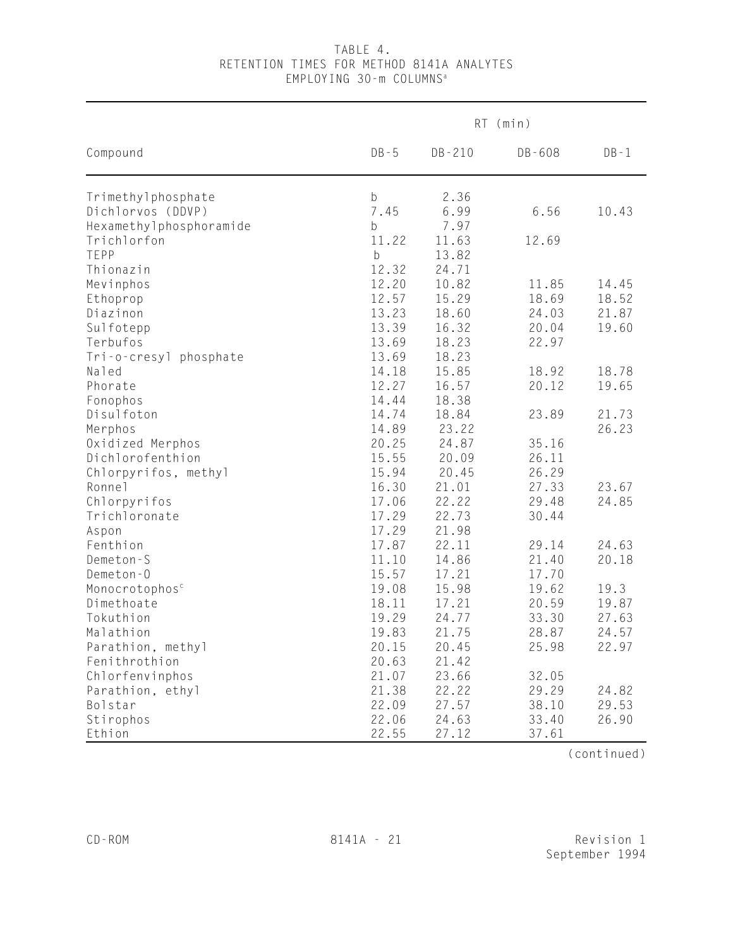# TABLE 4. RETENTION TIMES FOR METHOD 8141A ANALYTES EMPLOYING 30-m COLUMNS<sup>a</sup>

|                            |             | RT (min) |        |          |  |  |  |
|----------------------------|-------------|----------|--------|----------|--|--|--|
| Compound                   | $DB - 5$    | DB-210   | DB-608 | $DB - 1$ |  |  |  |
| Trimethylphosphate         | b           | 2.36     |        |          |  |  |  |
| Dichlorvos (DDVP)          | 7.45        | 6.99     | 6.56   | 10.43    |  |  |  |
| Hexamethylphosphoramide    | b           | 7.97     |        |          |  |  |  |
| Trichlorfon                | 11.22       | 11.63    | 12.69  |          |  |  |  |
| TEPP                       | $\mathsf b$ | 13.82    |        |          |  |  |  |
| Thionazin                  | 12.32       | 24.71    |        |          |  |  |  |
| Mevinphos                  | 12.20       | 10.82    | 11.85  | 14.45    |  |  |  |
| Ethoprop                   | 12.57       | 15.29    | 18.69  | 18.52    |  |  |  |
| Diazinon                   | 13.23       | 18.60    | 24.03  | 21.87    |  |  |  |
| Sulfotepp                  | 13.39       | 16.32    | 20.04  | 19.60    |  |  |  |
| Terbufos                   | 13.69       | 18.23    | 22.97  |          |  |  |  |
| Tri-o-cresyl phosphate     | 13.69       | 18.23    |        |          |  |  |  |
| Naled                      | 14.18       | 15.85    | 18.92  | 18.78    |  |  |  |
| Phorate                    | 12.27       | 16.57    | 20.12  | 19.65    |  |  |  |
| Fonophos                   | 14.44       | 18.38    |        |          |  |  |  |
| Disulfoton                 | 14.74       | 18.84    | 23.89  | 21.73    |  |  |  |
| Merphos                    | 14.89       | 23.22    |        | 26.23    |  |  |  |
| Oxidized Merphos           | 20.25       | 24.87    | 35.16  |          |  |  |  |
| Dichlorofenthion           | 15.55       | 20.09    | 26.11  |          |  |  |  |
| Chlorpyrifos, methyl       | 15.94       | 20.45    | 26.29  |          |  |  |  |
| Ronnel                     | 16.30       | 21.01    | 27.33  | 23.67    |  |  |  |
| Chlorpyrifos               | 17.06       | 22.22    | 29.48  | 24.85    |  |  |  |
| Trichloronate              | 17.29       | 22.73    | 30.44  |          |  |  |  |
| Aspon                      | 17.29       | 21.98    |        |          |  |  |  |
| Fenthion                   | 17.87       | 22.11    | 29.14  | 24.63    |  |  |  |
| Demeton-S                  | 11.10       | 14.86    | 21.40  | 20.18    |  |  |  |
| Demeton-O                  | 15.57       | 17.21    | 17.70  |          |  |  |  |
| Monocrotophos <sup>c</sup> | 19.08       | 15.98    | 19.62  | 19.3     |  |  |  |
| Dimethoate                 | 18.11       | 17.21    | 20.59  | 19.87    |  |  |  |
| Tokuthion                  | 19.29       | 24.77    | 33.30  | 27.63    |  |  |  |
| Malathion                  | 19.83       | 21.75    | 28.87  | 24.57    |  |  |  |
| Parathion, methyl          | 20.15       | 20.45    | 25.98  | 22.97    |  |  |  |
| Fenithrothion              | 20.63       | 21.42    |        |          |  |  |  |
| Chlorfenvinphos            | 21.07       | 23.66    | 32.05  |          |  |  |  |
| Parathion, ethyl           | 21.38       | 22.22    | 29.29  | 24.82    |  |  |  |
| Bolstar                    | 22.09       | 27.57    | 38.10  | 29.53    |  |  |  |
| Stirophos                  | 22.06       | 24.63    | 33.40  | 26.90    |  |  |  |
| Ethion                     | 22.55       | 27.12    | 37.61  |          |  |  |  |

(continued)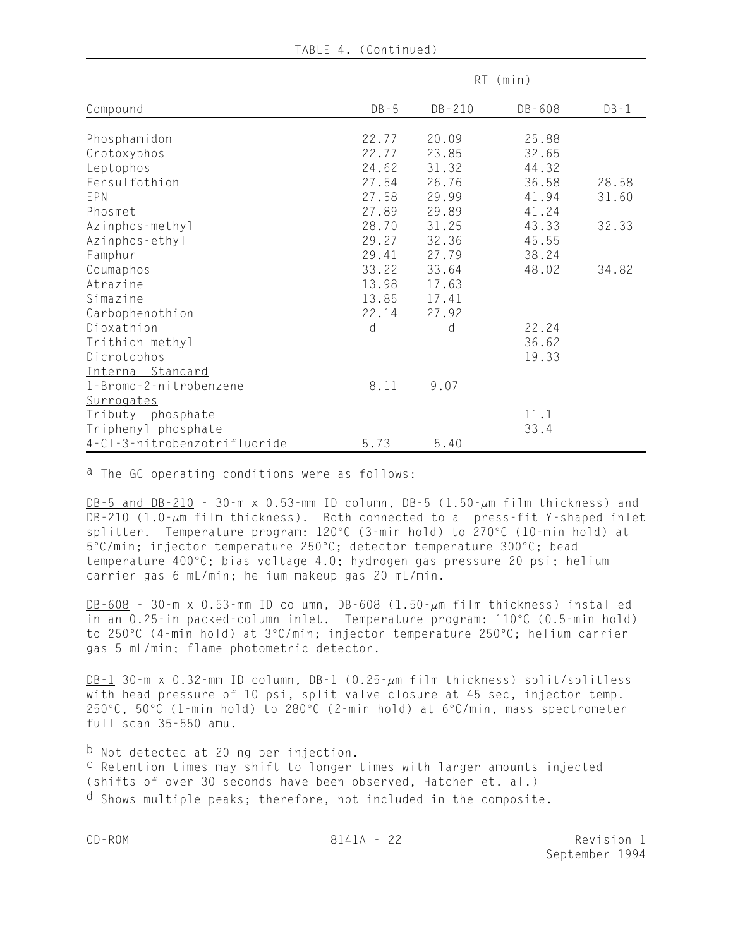|  | TABLE 4. |  | (Continued) |
|--|----------|--|-------------|
|--|----------|--|-------------|

| RT (min)                     |          |        |        |          |
|------------------------------|----------|--------|--------|----------|
| Compound                     | $DB - 5$ | DB-210 | DB-608 | $DB - 1$ |
| Phosphamidon                 | 22.77    | 20.09  | 25.88  |          |
| Crotoxyphos                  | 22.77    | 23.85  | 32.65  |          |
| Leptophos                    | 24.62    | 31.32  | 44.32  |          |
| Fensulfothion                | 27.54    | 26.76  | 36.58  | 28.58    |
| EPN                          | 27.58    | 29.99  | 41.94  | 31.60    |
| Phosmet                      | 27.89    | 29.89  | 41.24  |          |
| Azinphos-methyl              | 28.70    | 31.25  | 43.33  | 32.33    |
| Azinphos-ethyl               | 29.27    | 32.36  | 45.55  |          |
| Famphur                      | 29.41    | 27.79  | 38.24  |          |
| Coumaphos                    | 33.22    | 33.64  | 48.02  | 34.82    |
| Atrazine                     | 13.98    | 17.63  |        |          |
| Simazine                     | 13.85    | 17.41  |        |          |
| Carbophenothion              | 22.14    | 27.92  |        |          |
| Dioxathion                   | d        | d      | 22.24  |          |
| Trithion methyl              |          |        | 36.62  |          |
| Dicrotophos                  |          |        | 19.33  |          |
| Internal Standard            |          |        |        |          |
| 1-Bromo-2-nitrobenzene       | 8.11     | 9.07   |        |          |
| Surrogates                   |          |        |        |          |
| Tributyl phosphate           |          |        | 11.1   |          |
| Triphenyl phosphate          |          |        | 33.4   |          |
| 4-Cl-3-nitrobenzotrifluoride | 5.73     | 5.40   |        |          |

a The GC operating conditions were as follows:

DB-5 and DB-210 - 30-m x 0.53-mm ID column, DB-5 (1.50- $\mu$ m film thickness) and DB-210 (1.0- $\mu$ m film thickness). Both connected to a press-fit Y-shaped inlet splitter. Temperature program: 120°C (3-min hold) to 270°C (10-min hold) at 5°C/min; injector temperature 250°C; detector temperature 300°C; bead temperature 400°C; bias voltage 4.0; hydrogen gas pressure 20 psi; helium carrier gas 6 mL/min; helium makeup gas 20 mL/min.

 $\underline{DB-608}$  - 30-m x 0.53-mm ID column, DB-608 (1.50- $\mu$ m film thickness) installed in an  $0.25$ -in packed-column inlet. Temperature program:  $110\degree$ C (0.5-min hold) to 250°C (4-min hold) at 3°C/min; injector temperature 250°C; helium carrier gas 5 mL/min; flame photometric detector.

 $\underline{DB-1}$  30-m x 0.32-mm ID column, DB-1 (0.25- $\mu$ m film thickness) split/splitless with head pressure of 10 psi, split valve closure at 45 sec, injector temp. 250 $\degree$ C, 50 $\degree$ C (1-min hold) to 280 $\degree$ C (2-min hold) at 6 $\degree$ C/min, mass spectrometer full scan 35-550 amu.

b Not detected at 20 ng per injection. c Retention times may shift to longer times with larger amounts injected (shifts of over 30 seconds have been observed, Hatcher et. al.) d Shows multiple peaks; therefore, not included in the composite.

CD-ROM 8141A - 22 Revision 1 September 1994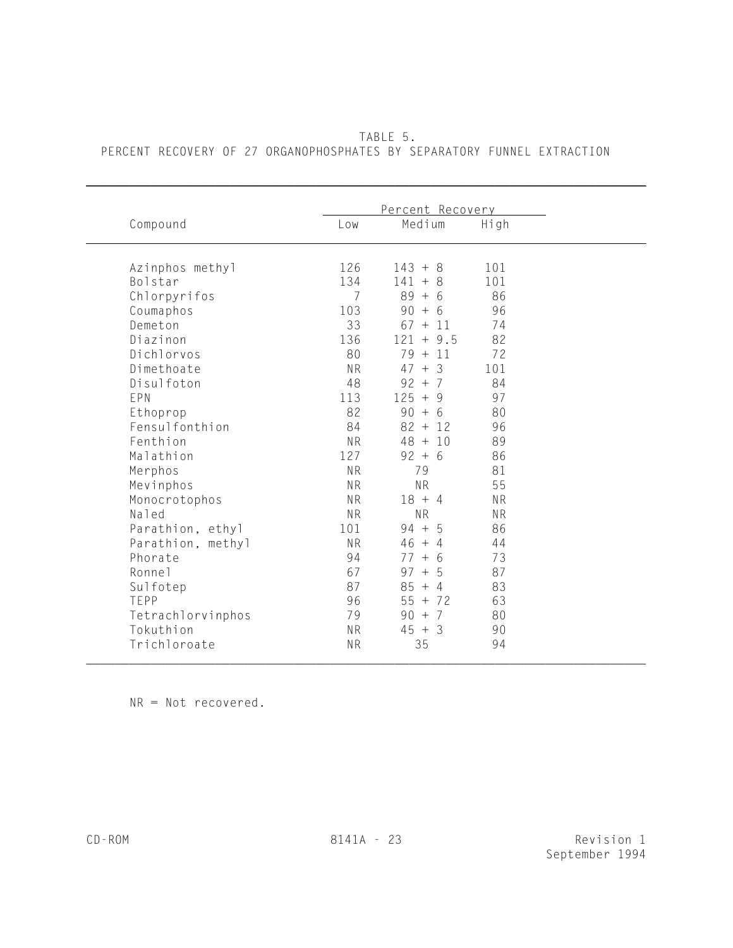|                    | Percent Recovery |               |           |
|--------------------|------------------|---------------|-----------|
| Compound           | Low              | Medium        | High      |
| Azinphos methyl    | 126              | $143 + 8$     | 101       |
| Bolstar            | 134              | $141 + 8$     | 101       |
| Chlorpyrifos       | $\overline{7}$   | $89 + 6$      | 86        |
| Coumaphos          | 103              | $90 + 6$      | 96        |
| Demeton            | 33               | $67 + 11$     | 74        |
| Diazinon           | 136              | $121 + 9.5$   | 82        |
| Dichlorvos         | 80               | $79 + 11$     | 72        |
| Dimethoate         | <b>NR</b>        | $47 + 3$      | 101       |
| Disulfoton         | 48               | $92 + 7$      | 84        |
| EPN                | 113              | $125 + 9$     | 97        |
| Ethoprop           | 82               | $90 + 6$      | 80        |
| Fensulfonthion     | 84               | $82 + 12$     | 96        |
| Fenthion           | <b>NR</b>        | $48 + 10$     | 89        |
| Malathion          | 127              | $92 + 6$      | 86        |
| Merphos            | <b>NR</b>        | 79            | 81        |
| Mevinphos          | <b>NR</b>        | <b>NR</b>     | 55        |
| Monocrotophos      | <b>NR</b>        | $18 + 4$      | <b>NR</b> |
| Naled              | <b>NR</b>        | <b>NR</b>     | <b>NR</b> |
| Parathion, ethyl   | 101              | $94 + 5$      | 86        |
| Parathion, methyl  | <b>NR</b>        | $46 + 4$      | 44        |
| Phorate            | 94               | $77 + 6$      | 73        |
| Ronne <sub>1</sub> | 67               | $97 +$<br>- 5 | 87        |
| Sulfotep           | 87               | $85 + 4$      | 83        |
| TEPP               | 96               | $55 + 72$     | 63        |
| Tetrachlorvinphos  | 79               | $90 + 7$      | 80        |
| Tokuthion          | <b>NR</b>        | $45 + 3$      | 90        |
| Trichloroate       | <b>NR</b>        | 35            | 94        |

 TABLE 5. PERCENT RECOVERY OF 27 ORGANOPHOSPHATES BY SEPARATORY FUNNEL EXTRACTION

\_\_\_\_\_\_\_\_\_\_\_\_\_\_\_\_\_\_\_\_\_\_\_\_\_\_\_\_\_\_\_\_\_\_\_\_\_\_\_\_\_\_\_\_\_\_\_\_\_\_\_\_\_\_\_\_\_\_\_\_\_\_\_\_\_\_\_\_\_\_\_\_\_\_\_\_\_\_

NR = Not recovered.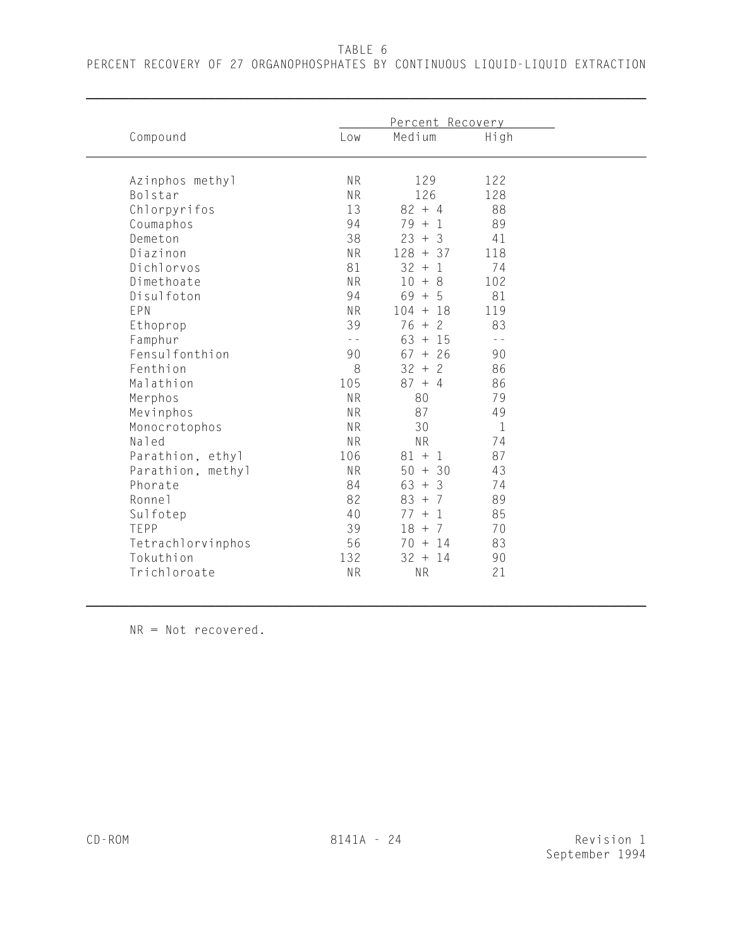TABLE 6

\_\_\_\_\_\_\_\_\_\_\_\_\_\_\_\_\_\_\_\_\_\_\_\_\_\_\_\_\_\_\_\_\_\_\_\_\_\_\_\_\_\_\_\_\_\_\_\_\_\_\_\_\_\_\_\_\_\_\_\_\_\_\_\_\_\_\_\_\_\_\_\_\_\_\_\_\_\_

|                   | Percent Recovery |              |               |  |
|-------------------|------------------|--------------|---------------|--|
| Compound          | Low              | Medium       | High          |  |
| Azinphos methyl   | <b>NR</b>        | 129          | 122           |  |
| Bolstar           | <b>NR</b>        | 126          | 128           |  |
| Chlorpyrifos      | 13               | $82 + 4$     | 88            |  |
| Coumaphos         | 94               | $79 + 1$     | 89            |  |
| Demeton           | 38               | $23 + 3$     | 41            |  |
| Diazinon          | <b>NR</b>        | $128 + 37$   | 118           |  |
| Dichlorvos        | 81               | $32 + 1$     | 74            |  |
| Dimethoate        | <b>NR</b>        | $10 +$<br>-8 | 102           |  |
| Disulfoton        | 94               | $69 + 5$     | 81            |  |
| EPN               | <b>NR</b>        | $104 + 18$   | 119           |  |
| Ethoprop          | 39               | $76 +$<br>-2 | 83            |  |
| Famphur           | $\sim$ $\sim$    | $63 + 15$    | $\sim$ $\sim$ |  |
| Fensulfonthion    | 90               | $67 + 26$    | 90            |  |
| Fenthion          | 8                | $32 + 2$     | 86            |  |
| Malathion         | 105              | $87 + 4$     | 86            |  |
| Merphos           | <b>NR</b>        | 80           | 79            |  |
| Mevinphos         | <b>NR</b>        | 87           | 49            |  |
| Monocrotophos     | <b>NR</b>        | 30           | $\mathbf{1}$  |  |
| Naled             | <b>NR</b>        | <b>NR</b>    | 74            |  |
| Parathion, ethyl  | 106              | $81 + 1$     | 87            |  |
| Parathion, methyl | <b>NR</b>        | $50 + 30$    | 43            |  |
| Phorate           | 84               | $63 + 3$     | 74            |  |
| Ronnel            | 82               | $83 + 7$     | 89            |  |
| Sulfotep          | 40               | $77 + 1$     | 85            |  |
| TEPP              | 39               | $18 + 7$     | 70            |  |
| Tetrachlorvinphos | 56               | $70 + 14$    | 83            |  |
| Tokuthion         | 132              | $32 + 14$    | 90            |  |
| Trichloroate      | <b>NR</b>        | <b>NR</b>    | 21            |  |

NR = Not recovered.

\_\_\_\_\_\_\_\_\_\_\_\_\_\_\_\_\_\_\_\_\_\_\_\_\_\_\_\_\_\_\_\_\_\_\_\_\_\_\_\_\_\_\_\_\_\_\_\_\_\_\_\_\_\_\_\_\_\_\_\_\_\_\_\_\_\_\_\_\_\_\_\_\_\_\_\_\_\_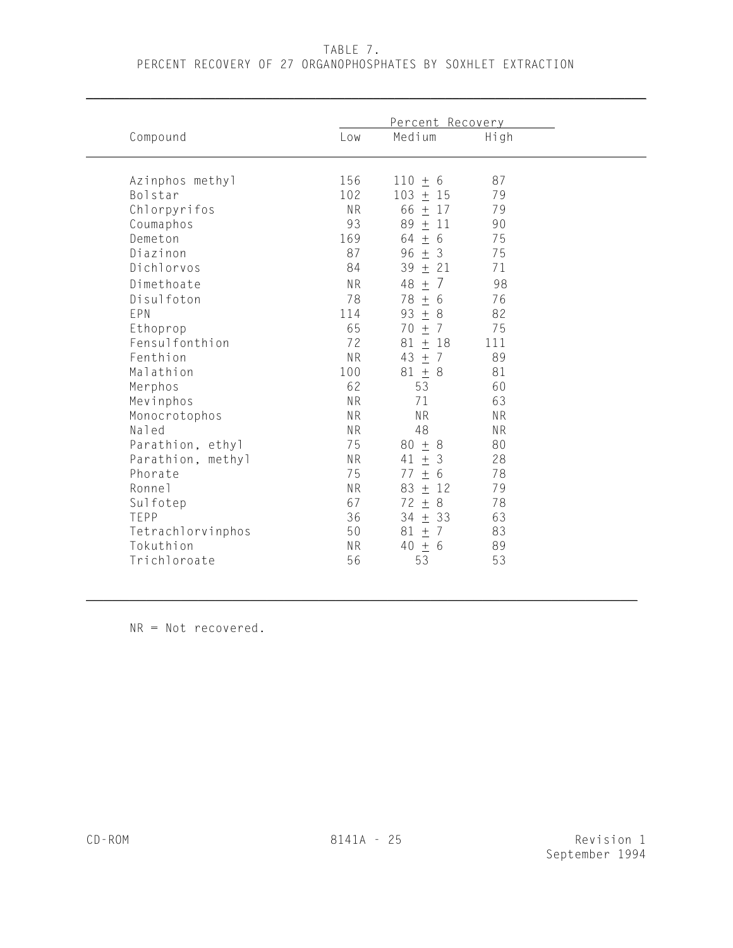### TABLE 7.

\_\_\_\_\_\_\_\_\_\_\_\_\_\_\_\_\_\_\_\_\_\_\_\_\_\_\_\_\_\_\_\_\_\_\_\_\_\_\_\_\_\_\_\_\_\_\_\_\_\_\_\_\_\_\_\_\_\_\_\_\_\_\_\_\_\_\_\_\_\_\_\_\_\_\_\_\_\_

### PERCENT RECOVERY OF 27 ORGANOPHOSPHATES BY SOXHLET EXTRACTION

|                            | Percent Recovery |                            |           |  |
|----------------------------|------------------|----------------------------|-----------|--|
| Compound                   | Low              | Medium                     | High      |  |
|                            |                  |                            |           |  |
| Azinphos methyl<br>Bolstar | 156<br>102       | $110 + 6$<br>103<br>$±$ 15 | 87<br>79  |  |
| Chlorpyrifos               | <b>NR</b>        | $66 \pm 17$                | 79        |  |
| Coumaphos                  | 93               | 89 $\pm$ 11                | 90        |  |
| Demeton                    | 169              | $64 \pm 6$                 | 75        |  |
| Diazinon                   | 87               | $96 \pm 3$                 | 75        |  |
| Dichlorvos                 | 84               | 39<br>$\pm$<br>21          | 71        |  |
| Dimethoate                 | <b>NR</b>        | 7<br>48<br>$\pm$           | 98        |  |
| Disulfoton                 | 78               |                            |           |  |
| EPN                        | 114              | 78<br>$\pm$<br>-6<br>93    | 76<br>82  |  |
|                            | 65               | ± 8<br>±7<br>70            | 75        |  |
| Ethoprop<br>Fensulfonthion | 72               | 81<br>±18                  | 111       |  |
| Fenthion                   | <b>NR</b>        | 43<br>±7                   | 89        |  |
| Malathion                  | 100              | $81 + 8$                   | 81        |  |
| Merphos                    | 62               | 53                         | 60        |  |
| Mevinphos                  | <b>NR</b>        | 71                         | 63        |  |
| Monocrotophos              | <b>NR</b>        | <b>NR</b>                  | <b>NR</b> |  |
| Naled                      | <b>NR</b>        | 48                         | <b>NR</b> |  |
| Parathion, ethyl           | 75               | $80 + 8$                   | 80        |  |
| Parathion, methyl          | <b>NR</b>        | 41<br>$\pm$<br>3           | 28        |  |
| Phorate                    | 75               | $\pm$<br>6<br>77           | 78        |  |
| Ronne <sub>1</sub>         | <b>NR</b>        | $±$ 12<br>83               | 79        |  |
| Sulfotep                   | 67               | $72 \pm$<br>8              | 78        |  |
| TEPP                       | 36               | $34 \pm 33$                | 63        |  |
| Tetrachlorvinphos          | 50               | ±7<br>81                   | 83        |  |
| Tokuthion                  | <b>NR</b>        | 40<br>$\pm$<br>6           | 89        |  |
| Trichloroate               | 56               | 53                         | 53        |  |
|                            |                  |                            |           |  |

 $\mathcal{L} = \{ \mathcal{L} \mid \mathcal{L} \text{ and } \mathcal{L} \text{ and } \mathcal{L} \text{ and } \mathcal{L} \text{ and } \mathcal{L} \text{ and } \mathcal{L} \text{ and } \mathcal{L} \text{ and } \mathcal{L} \text{ and } \mathcal{L} \text{ and } \mathcal{L} \text{ and } \mathcal{L} \text{ and } \mathcal{L} \text{ and } \mathcal{L} \text{ and } \mathcal{L} \text{ and } \mathcal{L} \text{ and } \mathcal{L} \text{ and } \mathcal{L} \text{ and } \mathcal{L} \text{ and } \mathcal{L$ 

NR = Not recovered.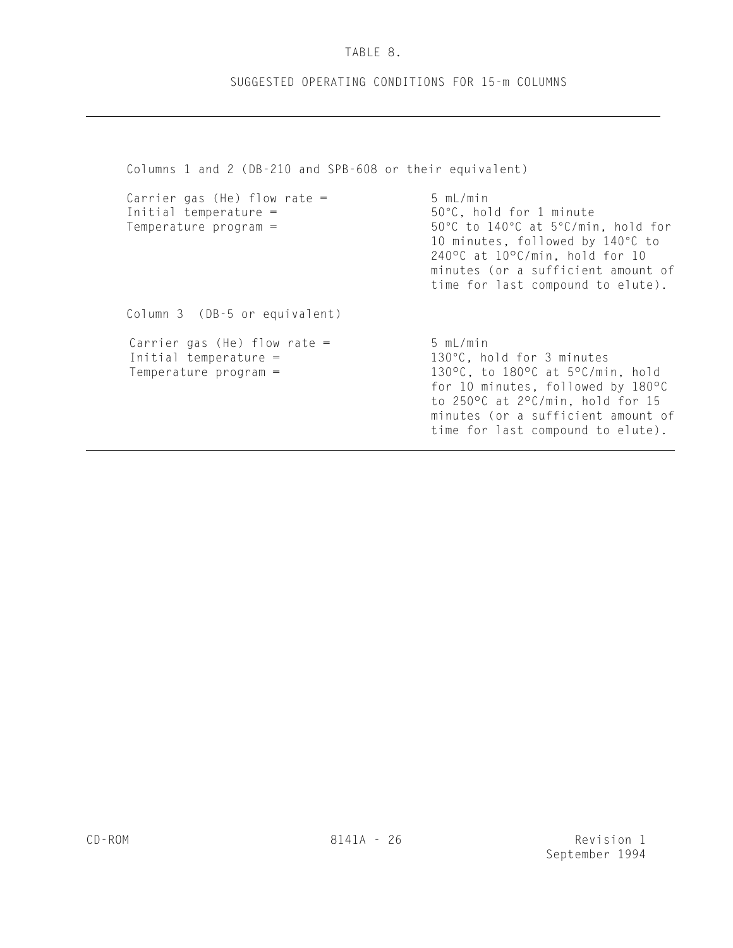# TABLE 8.

# SUGGESTED OPERATING CONDITIONS FOR 15-m COLUMNS

Columns 1 and 2 (DB-210 and SPB-608 or their equivalent) Carrier gas (He) flow rate =  $5 \text{ mL/min}$ <br>Initial temperature =  $50^{\circ}$ C, hol 50°C, hold for 1 minute Temperature program =  $50^{\circ}$ C to  $140^{\circ}$ C at  $5^{\circ}$ C/min, hold for 10 minutes, followed by 140°C to 240°C at 10°C/min, hold for 10 minutes (or a sufficient amount of time for last compound to elute). Column 3 (DB-5 or equivalent) Carrier gas (He) flow rate =  $5 mL/min$ Initial temperature =  $130^{\circ}$ C, hold for 3 minutes Temperature program =  $130^{\circ}$ C, to  $180^{\circ}$ C at  $5^{\circ}$ C/min, hold for 10 minutes, followed by 180°C to 250°C at 2°C/min, hold for 15 minutes (or a sufficient amount of time for last compound to elute).

 $\overline{a}$ 

 $\overline{a}$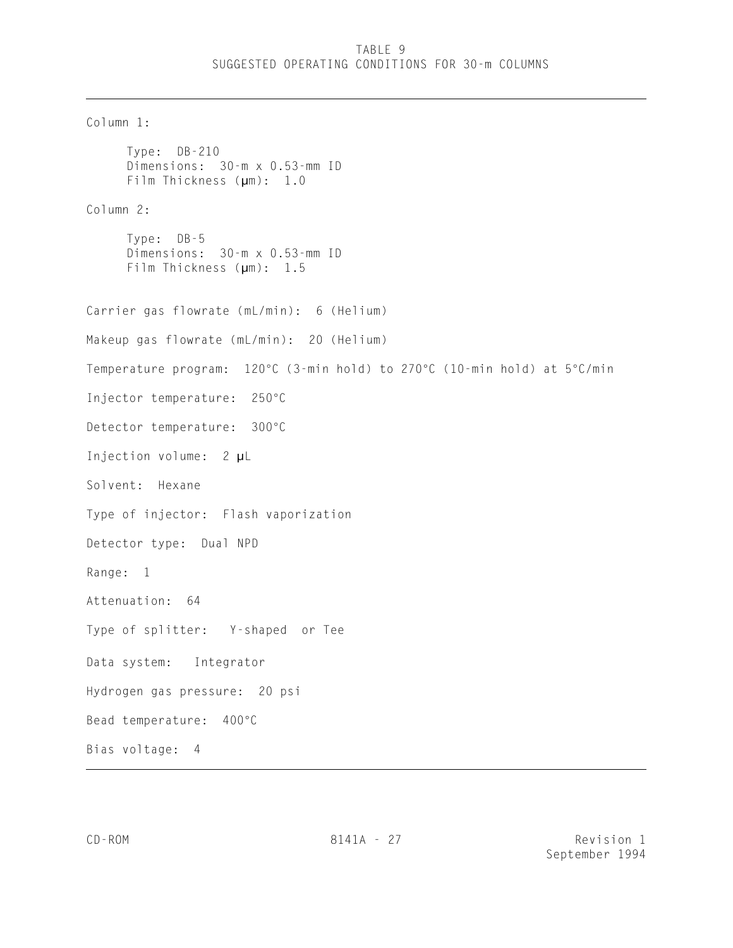# TABLE 9 SUGGESTED OPERATING CONDITIONS FOR 30-m COLUMNS

```
Column 1:
     Type: DB-210 
     Dimensions: 30-m x 0.53-mm ID
     Film Thickness (µm): 1.0
Column 2:
     Type: DB-5 
     Dimensions: 30-m x 0.53-mm ID
     Film Thickness (µm): 1.5
Carrier gas flowrate (mL/min): 6 (Helium)
Makeup gas flowrate (mL/min): 20 (Helium)
Temperature program: 120°C (3-min hold) to 270°C (10-min hold) at 5°C/min
Injector temperature: 250°C
Detector temperature: 300°C
Injection volume: 2 µL
Solvent: Hexane
Type of injector: Flash vaporization
Detector type: Dual NPD
Range: 1
Attenuation: 64 
Type of splitter: Y-shaped or Tee
Data system: Integrator
Hydrogen gas pressure: 20 psi
Bead temperature: 400°C
Bias voltage: 4
\overline{a}
```
 $\overline{a}$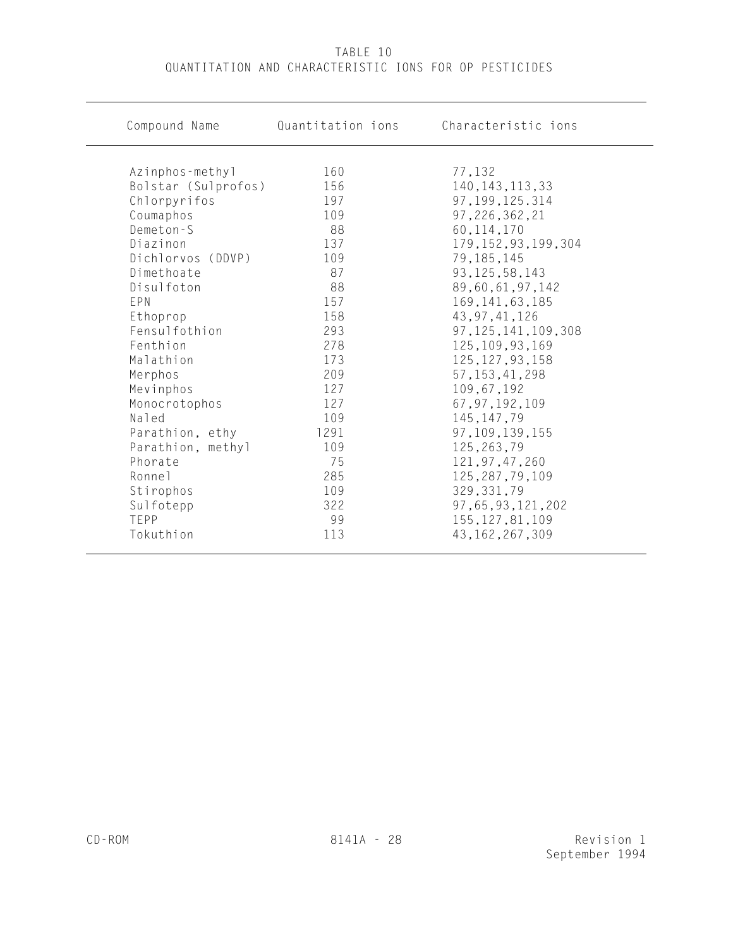| Compound Name                       | Quantitation ions | Characteristic ions         |
|-------------------------------------|-------------------|-----------------------------|
|                                     | 160               |                             |
| Azinphos-methyl                     | 156               | 77,132<br>140, 143, 113, 33 |
| Bolstar (Sulprofos)<br>Chlorpyrifos | 197               | 97, 199, 125. 314           |
| Coumaphos                           | 109               | 97, 226, 362, 21            |
| Demeton-S                           | 88                | 60, 114, 170                |
| Diazinon                            | 137               | 179, 152, 93, 199, 304      |
| Dichlorvos (DDVP)                   | 109               | 79,185,145                  |
| Dimethoate                          | 87                | 93, 125, 58, 143            |
| Disulfoton                          | 88                | 89,60,61,97,142             |
| EPN                                 | 157               | 169, 141, 63, 185           |
| Ethoprop                            | 158               | 43, 97, 41, 126             |
| Fensulfothion                       | 293               | 97, 125, 141, 109, 308      |
| Fenthion                            | 278               | 125, 109, 93, 169           |
| Malathion                           | 173               | 125, 127, 93, 158           |
| Merphos                             | 209               | 57, 153, 41, 298            |
| Mevinphos                           | 127               | 109,67,192                  |
| Monocrotophos                       | 127               | 67, 97, 192, 109            |
| Naled                               | 109               | 145, 147, 79                |
| Parathion, ethy                     | 1291              | 97, 109, 139, 155           |
| Parathion, methyl                   | 109               | 125,263,79                  |
| Phorate                             | 75                | 121, 97, 47, 260            |
| Ronnel                              | 285               | 125, 287, 79, 109           |
| Stirophos                           | 109               | 329, 331, 79                |
| Sulfotepp                           | 322               | 97, 65, 93, 121, 202        |
| TEPP                                | 99                | 155, 127, 81, 109           |
| Tokuthion                           | 113               | 43, 162, 267, 309           |

# TABLE 10 QUANTITATION AND CHARACTERISTIC IONS FOR OP PESTICIDES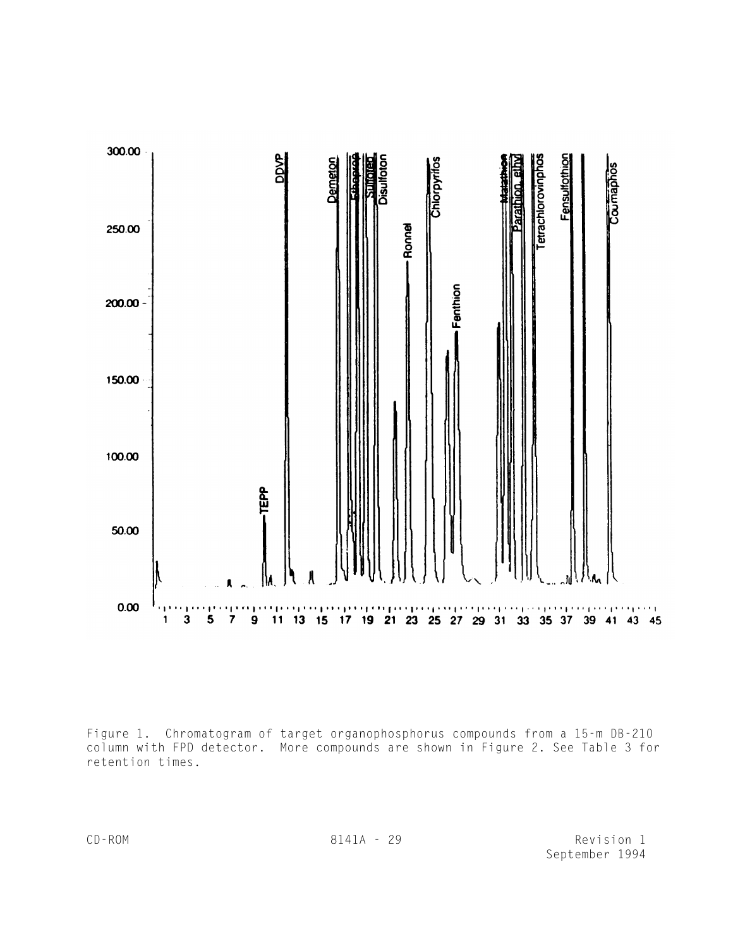

Figure 1. Chromatogram of target organophosphorus compounds from a 15-m DB-210 column with FPD detector. More compounds are shown in Figure 2. See Table 3 for retention times.

CD-ROM 8141A - 29 Revision 1 September 1994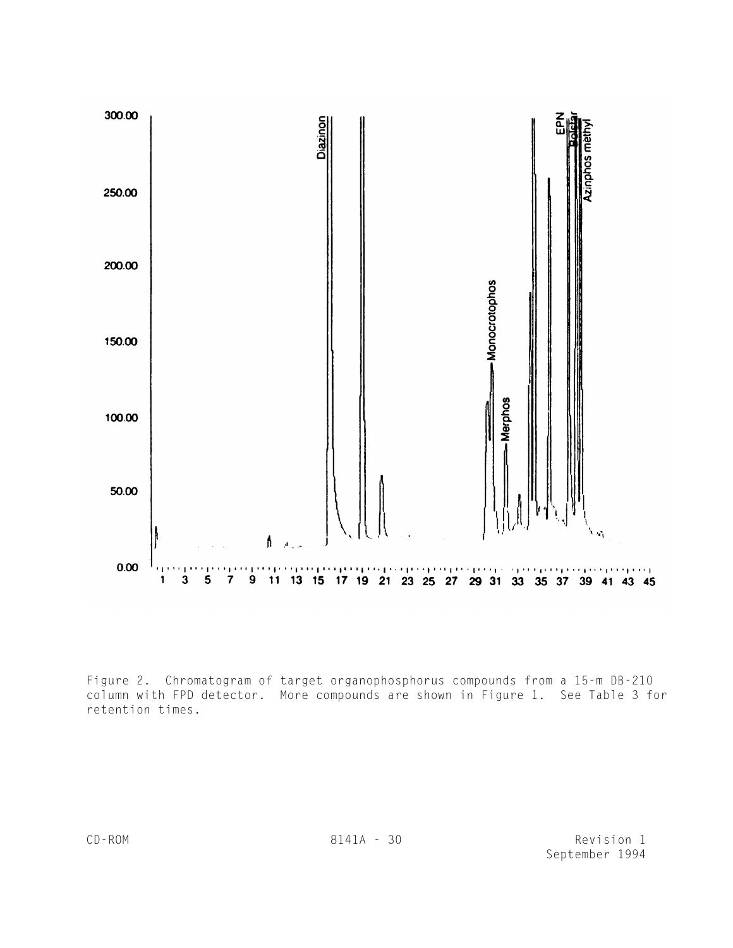

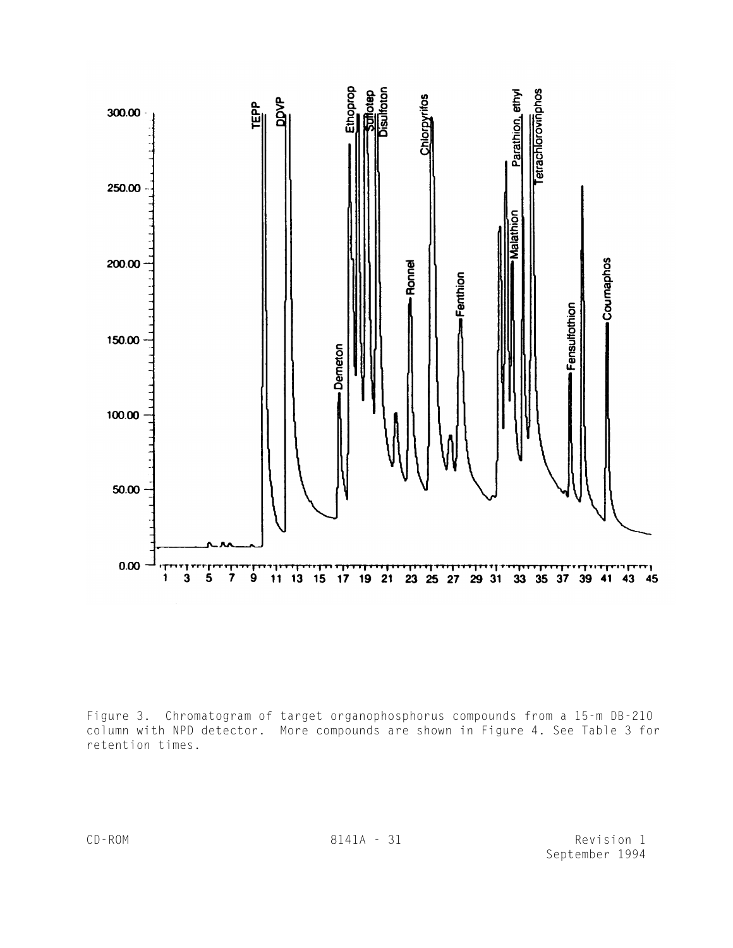

Figure 3. Chromatogram of target organophosphorus compounds from a 15-m DB-210 column with NPD detector. More compounds are shown in Figure 4. See Table 3 for retention times.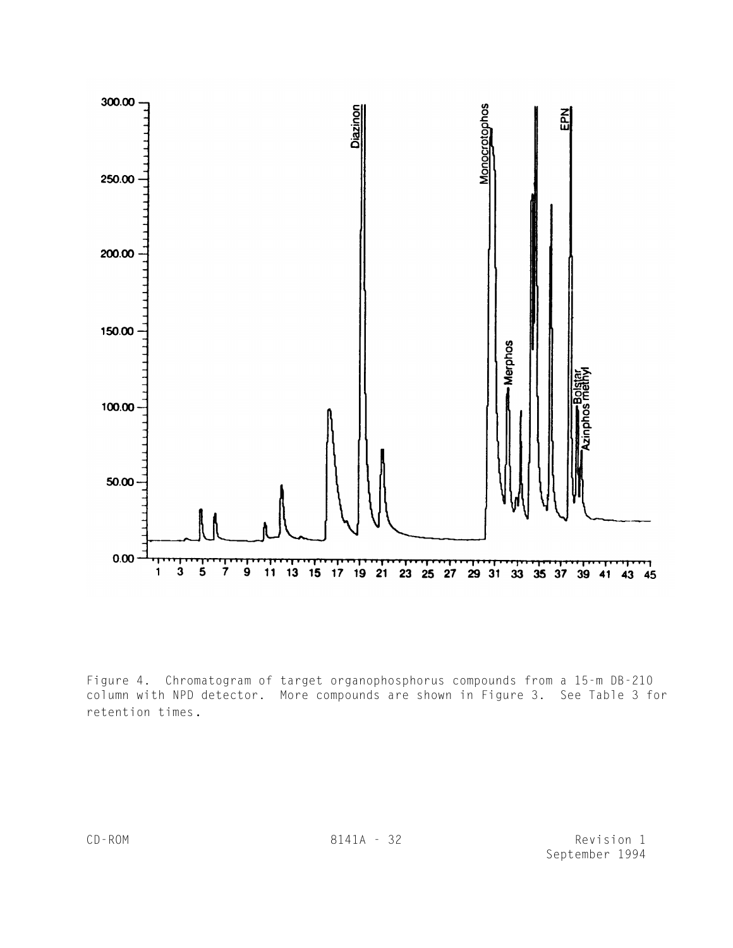

Figure 4. Chromatogram of target organophosphorus compounds from a 15-m DB-210 column with NPD detector. More compounds are shown in Figure 3. See Table 3 for retention times.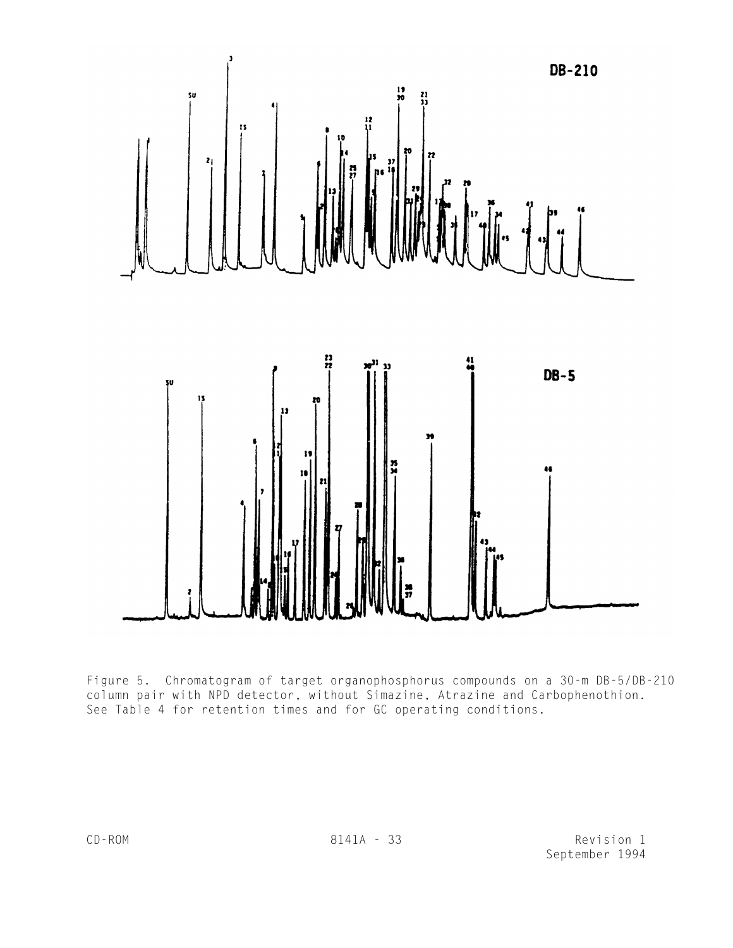

Figure 5. Chromatogram of target organophosphorus compounds on a 30-m DB-5/DB-210 column pair with NPD detector, without Simazine, Atrazine and Carbophenothion. See Table 4 for retention times and for GC operating conditions.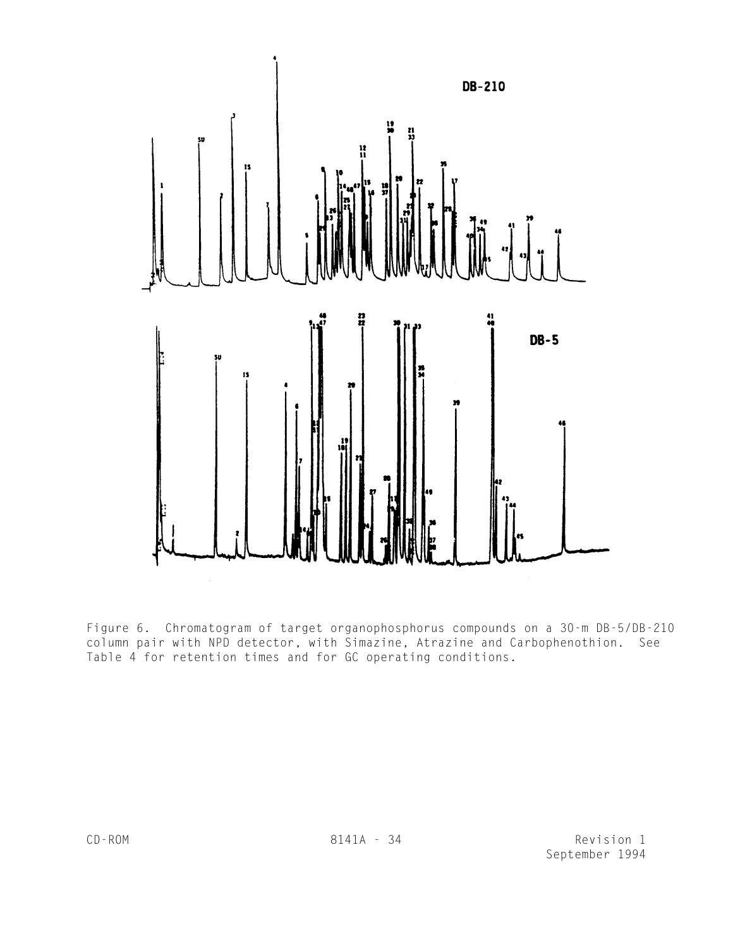

Figure 6. Chromatogram of target organophosphorus compounds on a 30-m DB-5/DB-210 column pair with NPD detector, with Simazine, Atrazine and Carbophenothion. See Table 4 for retention times and for GC operating conditions.